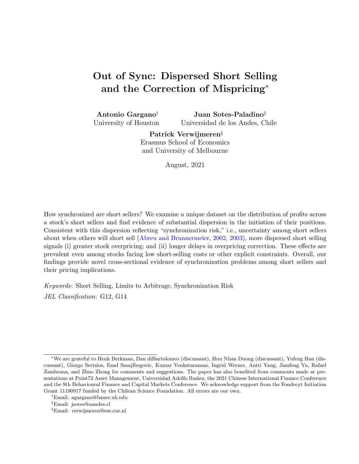# <span id="page-0-0"></span>Out of Sync: Dispersed Short Selling and the Correction of Mispricing<sup>∗</sup>

Antonio Gargano† University of Houston Juan Sotes-Paladino‡ Universidad de los Andes, Chile

> Patrick Verwijmeren§ Erasmus School of Economics and University of Melbourne

> > August, 2021

How synchronized are short sellers? We examine a unique dataset on the distribution of profits across a stock's short sellers and find evidence of substantial dispersion in the initiation of their positions. Consistent with this dispersion reflecting "synchronization risk," i.e., uncertainty among short sellers about when others will short sell [\(Abreu and Brunnermeier,](#page-32-0) [2002,](#page-32-0) [2003\)](#page-32-1), more dispersed short selling signals (i) greater stock overpricing; and (ii) longer delays in overpricing correction. These effects are prevalent even among stocks facing low short-selling costs or other explicit constraints. Overall, our findings provide novel cross-sectional evidence of synchronization problems among short sellers and their pricing implications.

Keywords: Short Selling, Limits to Arbitrage, Synchronization Risk

JEL Classification: G12, G14

<sup>∗</sup>We are grateful to Henk Berkman, Dan diBartolomeo (discussant), Huu Nhan Duong (discussant), Yufeng Han (discussant), Giorgo Sertsios, Esad Smajlbegovic, Kumar Venkataraman, Ingrid Werner, Antti Yang, Jianfeng Yu, Rafael Zambrana, and Zhuo Zhong for comments and suggestions. The paper has also benefited from comments made at presentations at Point72 Asset Management, Universidad Adolfo Ibañez, the 2021 Chinese International Finance Conference and the 9th Behavioural Finance and Capital Markets Conference. We acknowledge support from the Fondecyt Initiation Grant 11190917 funded by the Chilean Science Foundation. All errors are our own.

<sup>†</sup>Email: agargano@bauer.uh.edu

<sup>‡</sup>Email: jsotes@uandes.cl

<sup>§</sup>Email: verwijmeren@ese.eur.nl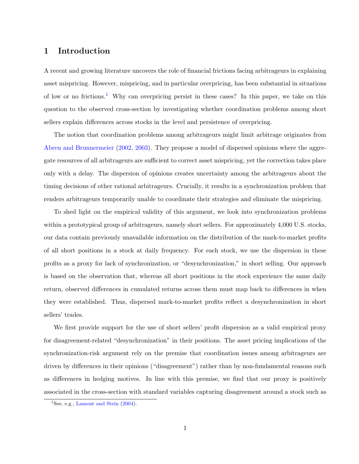# 1 Introduction

A recent and growing literature uncovers the role of financial frictions facing arbitrageurs in explaining asset mispricing. However, mispricing, and in particular overpricing, has been substantial in situations of low or no frictions.[1](#page-0-0) Why can overpricing persist in these cases? In this paper, we take on this question to the observed cross-section by investigating whether coordination problems among short sellers explain differences across stocks in the level and persistence of overpricing.

The notion that coordination problems among arbitrageurs might limit arbitrage originates from [Abreu and Brunnermeier](#page-32-0) [\(2002,](#page-32-0) [2003\)](#page-32-1). They propose a model of dispersed opinions where the aggregate resources of all arbitrageurs are sufficient to correct asset mispricing, yet the correction takes place only with a delay. The dispersion of opinions creates uncertainty among the arbitrageurs about the timing decisions of other rational arbitrageurs. Crucially, it results in a synchronization problem that renders arbitrageurs temporarily unable to coordinate their strategies and eliminate the mispricing.

To shed light on the empirical validity of this argument, we look into synchronization problems within a prototypical group of arbitrageurs, namely short sellers. For approximately 4,000 U.S. stocks, our data contain previously unavailable information on the distribution of the mark-to-market profits of all short positions in a stock at daily frequency. For each stock, we use the dispersion in these profits as a proxy for lack of synchronization, or "desynchronization," in short selling. Our approach is based on the observation that, whereas all short positions in the stock experience the same daily return, observed differences in cumulated returns across them must map back to differences in when they were established. Thus, dispersed mark-to-market profits reflect a desynchronization in short sellers' trades.

We first provide support for the use of short sellers' profit dispersion as a valid empirical proxy for disagreement-related "desynchronization" in their positions. The asset pricing implications of the synchronization-risk argument rely on the premise that coordination issues among arbitrageurs are driven by differences in their opinions ("disagreement") rather than by non-fundamental reasons such as differences in hedging motives. In line with this premise, we find that our proxy is positively associated in the cross-section with standard variables capturing disagreement around a stock such as

<sup>&</sup>lt;sup>1</sup>See, e.g., [Lamont and Stein](#page-36-0)  $(2004)$ .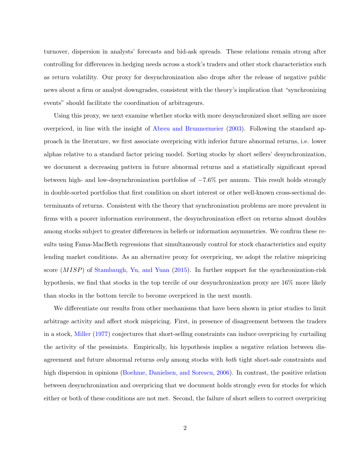turnover, dispersion in analysts' forecasts and bid-ask spreads. These relations remain strong after controlling for differences in hedging needs across a stock's traders and other stock characteristics such as return volatility. Our proxy for desynchronization also drops after the release of negative public news about a firm or analyst downgrades, consistent with the theory's implication that "synchronizing events" should facilitate the coordination of arbitrageurs.

Using this proxy, we next examine whether stocks with more desynchronized short selling are more overpriced, in line with the insight of [Abreu and Brunnermeier](#page-32-1) [\(2003\)](#page-32-1). Following the standard approach in the literature, we first associate overpricing with inferior future abnormal returns, i.e. lower alphas relative to a standard factor pricing model. Sorting stocks by short sellers' desynchronization, we document a decreasing pattern in future abnormal returns and a statistically significant spread between high- and low-desynchronization portfolios of −7.6% per annum. This result holds strongly in double-sorted portfolios that first condition on short interest or other well-known cross-sectional determinants of returns. Consistent with the theory that synchronization problems are more prevalent in firms with a poorer information environment, the desynchronization effect on returns almost doubles among stocks subject to greater differences in beliefs or information asymmetries. We confirm these results using Fama-MacBeth regressions that simultaneously control for stock characteristics and equity lending market conditions. As an alternative proxy for overpricing, we adopt the relative mispricing score (MISP) of [Stambaugh, Yu, and Yuan](#page-37-0) [\(2015\)](#page-37-0). In further support for the synchronization-risk hypothesis, we find that stocks in the top tercile of our desynchronization proxy are 16% more likely than stocks in the bottom tercile to become overpriced in the next month.

We differentiate our results from other mechanisms that have been shown in prior studies to limit arbitrage activity and affect stock mispricing. First, in presence of disagreement between the traders in a stock, [Miller](#page-36-1) [\(1977\)](#page-36-1) conjectures that short-selling constraints can induce overpricing by curtailing the activity of the pessimists. Empirically, his hypothesis implies a negative relation between disagreement and future abnormal returns *only* among stocks with *both* tight short-sale constraints and high dispersion in opinions [\(Boehme, Danielsen, and Sorescu,](#page-33-0) [2006\)](#page-33-0). In contrast, the positive relation between desynchronization and overpricing that we document holds strongly even for stocks for which either or both of these conditions are not met. Second, the failure of short sellers to correct overpricing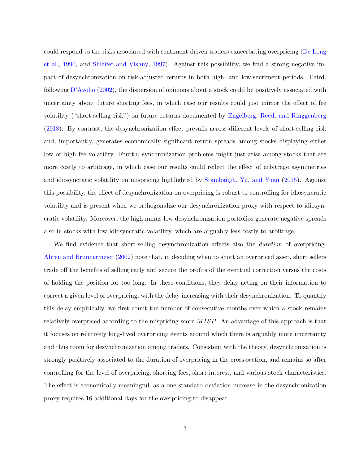could respond to the risks associated with sentiment-driven traders exacerbating overpricing [\(De Long](#page-34-0) [et al.,](#page-34-0) [1990,](#page-34-0) and [Shleifer and Vishny,](#page-37-1) [1997\)](#page-37-1). Against this possibility, we find a strong negative impact of desynchronization on risk-adjusted returns in both high- and low-sentiment periods. Third, following [D'Avolio](#page-34-1) [\(2002\)](#page-34-1), the dispersion of opinions about a stock could be positively associated with uncertainty about future shorting fees, in which case our results could just mirror the effect of fee volatility ("short-selling risk") on future returns documented by [Engelberg, Reed, and Ringgenberg](#page-34-2) [\(2018\)](#page-34-2). By contrast, the desynchronization effect prevails across different levels of short-selling risk and, importantly, generates economically significant return spreads among stocks displaying either low or high fee volatility. Fourth, synchronization problems might just arise among stocks that are more costly to arbitrage, in which case our results could reflect the effect of arbitrage asymmetries and idiosyncratic volatility on mispricing highlighted by [Stambaugh, Yu, and Yuan](#page-37-0) [\(2015\)](#page-37-0). Against this possibility, the effect of desynchronization on overpricing is robust to controlling for idiosyncratic volatility and is present when we orthogonalize our desynchronization proxy with respect to idiosyncratic volatility. Moreover, the high-minus-low desynchronization portfolios generate negative spreads also in stocks with low idiosyncratic volatility, which are arguably less costly to arbitrage.

We find evidence that short-selling desynchronization affects also the *duration* of overpricing. [Abreu and Brunnermeier](#page-32-0) [\(2002\)](#page-32-0) note that, in deciding when to short an overpriced asset, short sellers trade off the benefits of selling early and secure the profits of the eventual correction versus the costs of holding the position for too long. In these conditions, they delay acting on their information to correct a given level of overpricing, with the delay increasing with their desynchronization. To quantify this delay empirically, we first count the number of consecutive months over which a stock remains relatively overpriced according to the mispricing score MISP. An advantage of this approach is that it focuses on relatively long-lived overpricing events around which there is arguably more uncertainty and thus room for desynchronization among traders. Consistent with the theory, desynchronization is strongly positively associated to the duration of overpricing in the cross-section, and remains so after controlling for the level of overpricing, shorting fees, short interest, and various stock characteristics. The effect is economically meaningful, as a one standard deviation increase in the desynchronization proxy requires 16 additional days for the overpricing to disappear.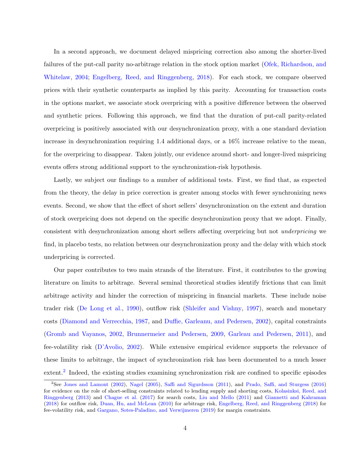In a second approach, we document delayed mispricing correction also among the shorter-lived failures of the put-call parity no-arbitrage relation in the stock option market [\(Ofek, Richardson, and](#page-36-2) [Whitelaw,](#page-36-2) [2004;](#page-36-2) [Engelberg, Reed, and Ringgenberg,](#page-34-2) [2018\)](#page-34-2). For each stock, we compare observed prices with their synthetic counterparts as implied by this parity. Accounting for transaction costs in the options market, we associate stock overpricing with a positive difference between the observed and synthetic prices. Following this approach, we find that the duration of put-call parity-related overpricing is positively associated with our desynchronization proxy, with a one standard deviation increase in desynchronization requiring 1.4 additional days, or a 16% increase relative to the mean, for the overpricing to disappear. Taken jointly, our evidence around short- and longer-lived mispricing events offers strong additional support to the synchronization-risk hypothesis.

Lastly, we subject our findings to a number of additional tests. First, we find that, as expected from the theory, the delay in price correction is greater among stocks with fewer synchronizing news events. Second, we show that the effect of short sellers' desynchronization on the extent and duration of stock overpricing does not depend on the specific desynchronization proxy that we adopt. Finally, consistent with desynchronization among short sellers affecting overpricing but not underpricing we find, in placebo tests, no relation between our desynchronization proxy and the delay with which stock underpricing is corrected.

Our paper contributes to two main strands of the literature. First, it contributes to the growing literature on limits to arbitrage. Several seminal theoretical studies identify frictions that can limit arbitrage activity and hinder the correction of mispricing in financial markets. These include noise trader risk [\(De Long et al.,](#page-34-0) [1990\)](#page-34-0), outflow risk [\(Shleifer and Vishny,](#page-37-1) [1997\)](#page-37-1), search and monetary costs [\(Diamond and Verrecchia,](#page-34-3) [1987,](#page-34-3) and [Duffie, Garleanu, and Pedersen,](#page-34-4) [2002\)](#page-34-4), capital constraints [\(Gromb and Vayanos,](#page-35-0) [2002,](#page-35-0) [Brunnermeier and Pedersen,](#page-33-1) [2009,](#page-33-1) [Garleau and Pedersen,](#page-35-1) [2011\)](#page-35-1), and fee-volatility risk [\(D'Avolio,](#page-34-1) [2002\)](#page-34-1). While extensive empirical evidence supports the relevance of these limits to arbitrage, the impact of synchronization risk has been documented to a much lesser extent.<sup>[2](#page-0-0)</sup> Indeed, the existing studies examining synchronization risk are confined to specific episodes

<sup>2</sup>See [Jones and Lamont](#page-35-2) [\(2002\)](#page-35-2), [Nagel](#page-36-3) [\(2005\)](#page-36-3), [Saffi and Sigurdsson](#page-37-2) [\(2011\)](#page-37-2), and [Prado, Saffi, and Sturgess](#page-37-3) [\(2016\)](#page-37-3) for evidence on the role of short-selling constraints related to lending supply and shorting costs, [Kolasinksi, Reed, and](#page-36-4) [Ringgenberg](#page-36-4) [\(2013\)](#page-36-4) and [Chague et al.](#page-33-2) [\(2017\)](#page-33-2) for search costs, [Liu and Mello](#page-36-5) [\(2011\)](#page-36-5) and [Giannetti and Kahraman](#page-35-3) [\(2018\)](#page-35-3) for outflow risk, [Duan, Hu, and McLean](#page-34-5) [\(2010\)](#page-34-5) for arbitrage risk, [Engelberg, Reed, and Ringgenberg](#page-34-2) [\(2018\)](#page-34-2) for fee-volatility risk, and [Gargano, Sotes-Paladino, and Verwijmeren](#page-35-4) [\(2019\)](#page-35-4) for margin constraints.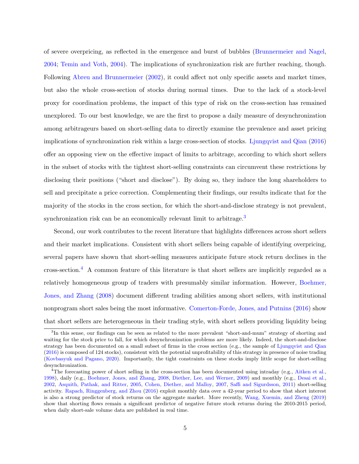of severe overpricing, as reflected in the emergence and burst of bubbles [\(Brunnermeier and Nagel,](#page-33-3) [2004;](#page-33-3) [Temin and Voth,](#page-37-4) [2004\)](#page-37-4). The implications of synchronization risk are further reaching, though. Following [Abreu and Brunnermeier](#page-32-0) [\(2002\)](#page-32-0), it could affect not only specific assets and market times, but also the whole cross-section of stocks during normal times. Due to the lack of a stock-level proxy for coordination problems, the impact of this type of risk on the cross-section has remained unexplored. To our best knowledge, we are the first to propose a daily measure of desynchronization among arbitrageurs based on short-selling data to directly examine the prevalence and asset pricing implications of synchronization risk within a large cross-section of stocks. [Ljungqvist and Qian](#page-36-6) [\(2016\)](#page-36-6) offer an opposing view on the effective impact of limits to arbitrage, according to which short sellers in the subset of stocks with the tightest short-selling constraints can circumvent these restrictions by disclosing their positions ("short and disclose"). By doing so, they induce the long shareholders to sell and precipitate a price correction. Complementing their findings, our results indicate that for the majority of the stocks in the cross section, for which the short-and-disclose strategy is not prevalent, synchronization risk can be an economically relevant limit to arbitrage.<sup>[3](#page-0-0)</sup>

Second, our work contributes to the recent literature that highlights differences across short sellers and their market implications. Consistent with short sellers being capable of identifying overpricing, several papers have shown that short-selling measures anticipate future stock return declines in the cross-section.<sup>[4](#page-0-0)</sup> A common feature of this literature is that short sellers are implicitly regarded as a relatively homogeneous group of traders with presumably similar information. However, [Boehmer,](#page-33-4) [Jones, and Zhang](#page-33-4) [\(2008\)](#page-33-4) document different trading abilities among short sellers, with institutional nonprogram short sales being the most informative. [Comerton-Forde, Jones, and Putnins](#page-34-6) [\(2016\)](#page-34-6) show that short sellers are heterogeneous in their trading style, with short sellers providing liquidity being

<sup>&</sup>lt;sup>3</sup>In this sense, our findings can be seen as related to the more prevalent "short-and-mum" strategy of shorting and waiting for the stock price to fall, for which desynchronization problems are more likely. Indeed, the short-and-disclose strategy has been documented on a small subset of firms in the cross section (e.g., the sample of [Ljungqvist and Qian](#page-36-6) [\(2016\)](#page-36-6) is composed of 124 stocks), consistent with the potential unprofitability of this strategy in presence of noise trading [\(Kovbasyuk and Pagano,](#page-36-7) [2020\)](#page-36-7). Importantly, the tight constraints on these stocks imply little scope for short-selling desynchronization.

<sup>&</sup>lt;sup>4</sup>The forecasting power of short selling in the cross-section has been documented using intraday (e.g., [Aitken et al.,](#page-32-2) [1998\)](#page-32-2), daily (e.g., [Boehmer, Jones, and Zhang,](#page-33-4) [2008,](#page-33-4) [Diether, Lee, and Werner,](#page-34-7) [2009\)](#page-34-7) and monthly (e.g., [Desai et al.,](#page-34-8) [2002,](#page-34-8) [Asquith, Pathak, and Ritter,](#page-32-3) [2005,](#page-32-3) [Cohen, Diether, and Malloy,](#page-34-9) [2007,](#page-34-9) [Saffi and Sigurdsson,](#page-37-2) [2011\)](#page-37-2) short-selling activity. [Rapach, Ringgenberg, and Zhou](#page-37-5) [\(2016\)](#page-37-5) exploit monthly data over a 42-year period to show that short interest is also a strong predictor of stock returns on the aggregate market. More recently, [Wang, Xuemin, and Zheng](#page-37-6) [\(2019\)](#page-37-6) show that shorting flows remain a significant predictor of negative future stock returns during the 2010-2015 period, when daily short-sale volume data are published in real time.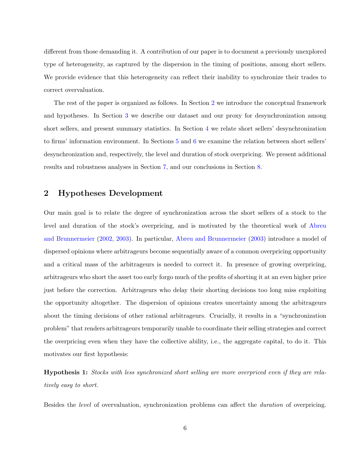different from those demanding it. A contribution of our paper is to document a previously unexplored type of heterogeneity, as captured by the dispersion in the timing of positions, among short sellers. We provide evidence that this heterogeneity can reflect their inability to synchronize their trades to correct overvaluation.

The rest of the paper is organized as follows. In Section [2](#page-6-0) we introduce the conceptual framework and hypotheses. In Section [3](#page-7-0) we describe our dataset and our proxy for desynchronization among short sellers, and present summary statistics. In Section [4](#page-12-0) we relate short sellers' desynchronization to firms' information environment. In Sections [5](#page-16-0) and [6](#page-25-0) we examine the relation between short sellers' desynchronization and, respectively, the level and duration of stock overpricing. We present additional results and robustness analyses in Section [7,](#page-28-0) and our conclusions in Section [8.](#page-31-0)

# <span id="page-6-0"></span>2 Hypotheses Development

Our main goal is to relate the degree of synchronization across the short sellers of a stock to the level and duration of the stock's overpricing, and is motivated by the theoretical work of [Abreu](#page-32-0) [and Brunnermeier](#page-32-0) [\(2002,](#page-32-0) [2003\)](#page-32-1). In particular, [Abreu and Brunnermeier](#page-32-1) [\(2003\)](#page-32-1) introduce a model of dispersed opinions where arbitrageurs become sequentially aware of a common overpricing opportunity and a critical mass of the arbitrageurs is needed to correct it. In presence of growing overpricing, arbitrageurs who short the asset too early forgo much of the profits of shorting it at an even higher price just before the correction. Arbitrageurs who delay their shorting decisions too long miss exploiting the opportunity altogether. The dispersion of opinions creates uncertainty among the arbitrageurs about the timing decisions of other rational arbitrageurs. Crucially, it results in a "synchronization problem" that renders arbitrageurs temporarily unable to coordinate their selling strategies and correct the overpricing even when they have the collective ability, i.e., the aggregate capital, to do it. This motivates our first hypothesis:

<span id="page-6-1"></span>Hypothesis 1: Stocks with less synchronized short selling are more overpriced even if they are relatively easy to short.

Besides the level of overvaluation, synchronization problems can affect the duration of overpricing.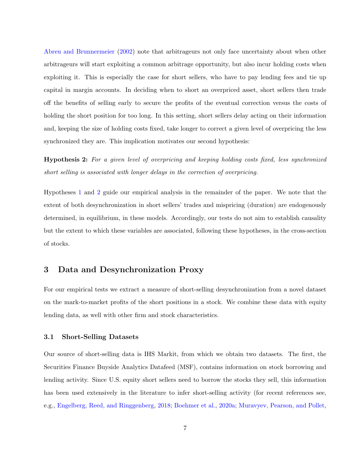[Abreu and Brunnermeier](#page-32-0) [\(2002\)](#page-32-0) note that arbitrageurs not only face uncertainty about when other arbitrageurs will start exploiting a common arbitrage opportunity, but also incur holding costs when exploiting it. This is especially the case for short sellers, who have to pay lending fees and tie up capital in margin accounts. In deciding when to short an overpriced asset, short sellers then trade off the benefits of selling early to secure the profits of the eventual correction versus the costs of holding the short position for too long. In this setting, short sellers delay acting on their information and, keeping the size of holding costs fixed, take longer to correct a given level of overpricing the less synchronized they are. This implication motivates our second hypothesis:

<span id="page-7-1"></span>Hypothesis 2: For a given level of overpricing and keeping holding costs fixed, less synchronized short selling is associated with longer delays in the correction of overpricing.

Hypotheses [1](#page-6-1) and [2](#page-7-1) guide our empirical analysis in the remainder of the paper. We note that the extent of both desynchronization in short sellers' trades and mispricing (duration) are endogenously determined, in equilibrium, in these models. Accordingly, our tests do not aim to establish causality but the extent to which these variables are associated, following these hypotheses, in the cross-section of stocks.

# <span id="page-7-0"></span>3 Data and Desynchronization Proxy

For our empirical tests we extract a measure of short-selling desynchronization from a novel dataset on the mark-to-market profits of the short positions in a stock. We combine these data with equity lending data, as well with other firm and stock characteristics.

### <span id="page-7-2"></span>3.1 Short-Selling Datasets

Our source of short-selling data is IHS Markit, from which we obtain two datasets. The first, the Securities Finance Buyside Analytics Datafeed (MSF), contains information on stock borrowing and lending activity. Since U.S. equity short sellers need to borrow the stocks they sell, this information has been used extensively in the literature to infer short-selling activity (for recent references see, e.g., [Engelberg, Reed, and Ringgenberg,](#page-34-2) [2018;](#page-34-2) [Boehmer et al.,](#page-33-5) [2020a;](#page-33-5) [Muravyev, Pearson, and Pollet,](#page-36-8)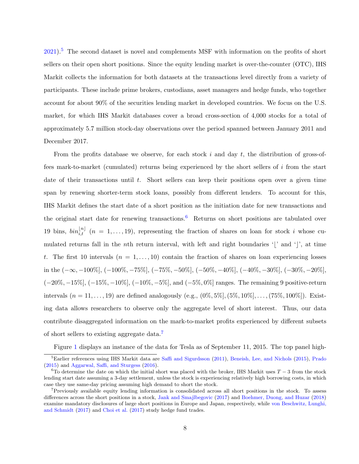[2021\)](#page-36-8).[5](#page-0-0) The second dataset is novel and complements MSF with information on the profits of short sellers on their open short positions. Since the equity lending market is over-the-counter (OTC), IHS Markit collects the information for both datasets at the transactions level directly from a variety of participants. These include prime brokers, custodians, asset managers and hedge funds, who together account for about 90% of the securities lending market in developed countries. We focus on the U.S. market, for which IHS Markit databases cover a broad cross-section of 4,000 stocks for a total of approximately 5.7 million stock-day observations over the period spanned between January 2011 and December 2017.

From the profits database we observe, for each stock  $i$  and day  $t$ , the distribution of gross-offees mark-to-market (cumulated) returns being experienced by the short sellers of i from the start date of their transactions until  $t$ . Short sellers can keep their positions open over a given time span by renewing shorter-term stock loans, possibly from different lenders. To account for this, IHS Markit defines the start date of a short position as the initiation date for new transactions and the original start date for renewing transactions.<sup>[6](#page-0-0)</sup> Returns on short positions are tabulated over 19 bins,  $\sin\left(\frac{n}{i,t}\right)$   $(n = 1, \ldots, 19)$ , representing the fraction of shares on loan for stock i whose cumulated returns fall in the nth return interval, with left and right boundaries '|' and '|', at time t. The first 10 intervals  $(n = 1, \ldots, 10)$  contain the fraction of shares on loan experiencing losses in the  $(-\infty, -100\%]$ ,  $(-100\%, -75\%]$ ,  $(-75\%, -50\%]$ ,  $(-50\%, -40\%]$ ,  $(-40\%, -30\%]$ ,  $(-30\%, -20\%]$ ,  $(-20\%, -15\%, (-15\%, -10\%, (-10\%, -5\%, \text{and } (-5\%, 0\%])$  ranges. The remaining 9 positive-return intervals  $(n = 11, \ldots, 19)$  are defined analogously  $(e.g., (0\%, 5\%], (5\%, 10\%], \ldots, (75\%, 100\%])$ . Existing data allows researchers to observe only the aggregate level of short interest. Thus, our data contribute disaggregated information on the mark-to-market profits experienced by different subsets of short sellers to existing aggregate data.[7](#page-0-0)

Figure [1](#page-38-0) displays an instance of the data for Tesla as of September 11, 2015. The top panel high-

 ${}^{5}$ Earlier references using IHS Markit data are [Saffi and Sigurdsson](#page-37-2) [\(2011\)](#page-37-2), [Beneish, Lee, and Nichols](#page-32-4) [\(2015\)](#page-32-4), [Prado](#page-36-9) [\(2015\)](#page-36-9) and [Aggarwal, Saffi, and Sturgess](#page-32-5) [\(2016\)](#page-32-5).

<sup>&</sup>lt;sup>6</sup>To determine the date on which the initial short was placed with the broker, IHS Markit uses  $T-3$  from the stock lending start date assuming a 3-day settlement, unless the stock is experiencing relatively high borrowing costs, in which case they use same-day pricing assuming high demand to short the stock.

<sup>7</sup>Previously available equity lending information is consolidated across all short positions in the stock. To assess differences across the short positions in a stock, [Jank and Smajlbegovic](#page-35-5) [\(2017\)](#page-35-5) and [Boehmer, Duong, and Huzar](#page-33-6) [\(2018\)](#page-33-6) examine mandatory disclosures of large short positions in Europe and Japan, respectively, while [von Beschwitz, Lunghi,](#page-37-7) [and Schmidt](#page-37-7) [\(2017\)](#page-37-7) and [Choi et al.](#page-33-7) [\(2017\)](#page-33-7) study hedge fund trades.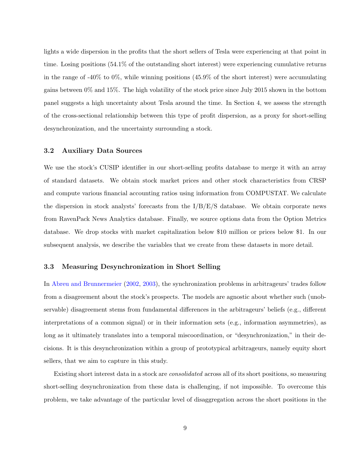lights a wide dispersion in the profits that the short sellers of Tesla were experiencing at that point in time. Losing positions (54.1% of the outstanding short interest) were experiencing cumulative returns in the range of  $-40\%$  to  $0\%$ , while winning positions (45.9% of the short interest) were accumulating gains between 0% and 15%. The high volatility of the stock price since July 2015 shown in the bottom panel suggests a high uncertainty about Tesla around the time. In Section 4, we assess the strength of the cross-sectional relationship between this type of profit dispersion, as a proxy for short-selling desynchronization, and the uncertainty surrounding a stock.

### 3.2 Auxiliary Data Sources

We use the stock's CUSIP identifier in our short-selling profits database to merge it with an array of standard datasets. We obtain stock market prices and other stock characteristics from CRSP and compute various financial accounting ratios using information from COMPUSTAT. We calculate the dispersion in stock analysts' forecasts from the  $I/B/E/S$  database. We obtain corporate news from RavenPack News Analytics database. Finally, we source options data from the Option Metrics database. We drop stocks with market capitalization below \$10 million or prices below \$1. In our subsequent analysis, we describe the variables that we create from these datasets in more detail.

### <span id="page-9-0"></span>3.3 Measuring Desynchronization in Short Selling

In [Abreu and Brunnermeier](#page-32-0) [\(2002,](#page-32-0) [2003\)](#page-32-1), the synchronization problems in arbitrageurs' trades follow from a disagreement about the stock's prospects. The models are agnostic about whether such (unobservable) disagreement stems from fundamental differences in the arbitrageurs' beliefs (e.g., different interpretations of a common signal) or in their information sets (e.g., information asymmetries), as long as it ultimately translates into a temporal miscoordination, or "desynchronization," in their decisions. It is this desynchronization within a group of prototypical arbitrageurs, namely equity short sellers, that we aim to capture in this study.

Existing short interest data in a stock are consolidated across all of its short positions, so measuring short-selling desynchronization from these data is challenging, if not impossible. To overcome this problem, we take advantage of the particular level of disaggregation across the short positions in the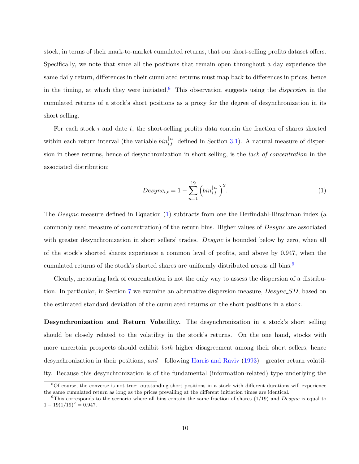stock, in terms of their mark-to-market cumulated returns, that our short-selling profits dataset offers. Specifically, we note that since all the positions that remain open throughout a day experience the same daily return, differences in their cumulated returns must map back to differences in prices, hence in the timing, at which they were initiated.<sup>[8](#page-0-0)</sup> This observation suggests using the *dispersion* in the cumulated returns of a stock's short positions as a proxy for the degree of desynchronization in its short selling.

For each stock  $i$  and date  $t$ , the short-selling profits data contain the fraction of shares shorted within each return interval (the variable  $bin_{i,t}^{[n]}$  defined in Section [3.1\)](#page-7-2). A natural measure of dispersion in these returns, hence of desynchronization in short selling, is the lack of concentration in the associated distribution:

<span id="page-10-1"></span><span id="page-10-0"></span>
$$
Desync_{i,t} = 1 - \sum_{n=1}^{19} \left( bin_{i,t}^{|n|} \right)^2.
$$
 (1)

The *Desync* measure defined in Equation [\(1\)](#page-10-0) subtracts from one the Herfindahl-Hirschman index (a commonly used measure of concentration) of the return bins. Higher values of  $Desync$  are associated with greater desynchronization in short sellers' trades. Desync is bounded below by zero, when all of the stock's shorted shares experience a common level of profits, and above by 0.947, when the cumulated returns of the stock's shorted shares are uniformly distributed across all bins.[9](#page-0-0)

Clearly, measuring lack of concentration is not the only way to assess the dispersion of a distribu-tion. In particular, in Section [7](#page-28-0) we examine an alternative dispersion measure, *Desync\_SD*, based on the estimated standard deviation of the cumulated returns on the short positions in a stock.

Desynchronization and Return Volatility. The desynchronization in a stock's short selling should be closely related to the volatility in the stock's returns. On the one hand, stocks with more uncertain prospects should exhibit both higher disagreement among their short sellers, hence desynchronization in their positions, and—following [Harris and Raviv](#page-35-6) [\(1993\)](#page-35-6)—greater return volatility. Because this desynchronization is of the fundamental (information-related) type underlying the

<sup>8</sup>Of course, the converse is not true: outstanding short positions in a stock with different durations will experience the same cumulated return as long as the prices prevailing at the different initiation times are identical.

<sup>&</sup>lt;sup>9</sup>This corresponds to the scenario where all bins contain the same fraction of shares  $(1/19)$  and  $Desync$  is equal to  $1 - 19(1/19)^2 = 0.947.$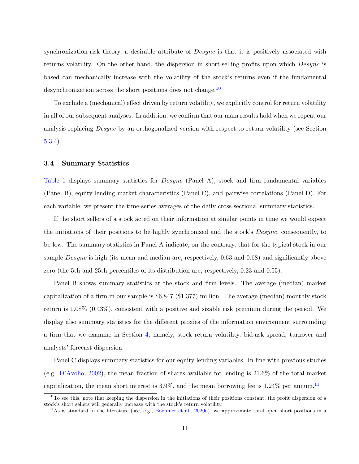synchronization-risk theory, a desirable attribute of *Desync* is that it is positively associated with returns volatility. On the other hand, the dispersion in short-selling profits upon which Desync is based can mechanically increase with the volatility of the stock's returns even if the fundamental desynchronization across the short positions does not change.<sup>[10](#page-0-0)</sup>

To exclude a (mechanical) effect driven by return volatility, we explicitly control for return volatility in all of our subsequent analyses. In addition, we confirm that our main results hold when we repeat our analysis replacing Desync by an orthogonalized version with respect to return volatility (see Section [5.3.4\)](#page-24-0).

### 3.4 Summary Statistics

Table [1](#page-40-0) displays summary statistics for *Desync* (Panel A), stock and firm fundamental variables (Panel B), equity lending market characteristics (Panel C), and pairwise correlations (Panel D). For each variable, we present the time-series averages of the daily cross-sectional summary statistics.

If the short sellers of a stock acted on their information at similar points in time we would expect the initiations of their positions to be highly synchronized and the stock's *Desync*, consequently, to be low. The summary statistics in Panel A indicate, on the contrary, that for the typical stock in our sample *Desync* is high (its mean and median are, respectively, 0.63 and 0.68) and significantly above zero (the 5th and 25th percentiles of its distribution are, respectively, 0.23 and 0.55).

Panel B shows summary statistics at the stock and firm levels. The average (median) market capitalization of a firm in our sample is \$6,847 (\$1,377) million. The average (median) monthly stock return is 1.08% (0.43%), consistent with a positive and sizable risk premium during the period. We display also summary statistics for the different proxies of the information environment surrounding a firm that we examine in Section [4;](#page-12-0) namely, stock return volatility, bid-ask spread, turnover and analysts' forecast dispersion.

Panel C displays summary statistics for our equity lending variables. In line with previous studies (e.g. [D'Avolio,](#page-34-1) [2002\)](#page-34-1), the mean fraction of shares available for lending is 21.6% of the total market capitalization, the mean short interest is  $3.9\%$ , and the mean borrowing fee is  $1.24\%$  per annum.<sup>[11](#page-0-0)</sup>

 $10$ To see this, note that keeping the dispersion in the initiations of their positions constant, the profit dispersion of a stock's short sellers will generally increase with the stock's return volatility.

 $11\text{As}$  is standard in the literature (see, e.g., [Boehmer et al.,](#page-33-5) [2020a\)](#page-33-5), we approximate total open short positions in a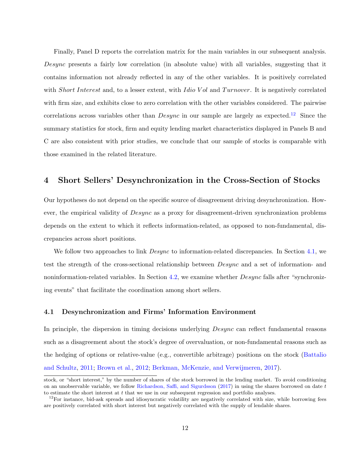Finally, Panel D reports the correlation matrix for the main variables in our subsequent analysis. Desync presents a fairly low correlation (in absolute value) with all variables, suggesting that it contains information not already reflected in any of the other variables. It is positively correlated with Short Interest and, to a lesser extent, with Idio Vol and Turnover. It is negatively correlated with firm size, and exhibits close to zero correlation with the other variables considered. The pairwise correlations across variables other than  $Desync$  in our sample are largely as expected.<sup>[12](#page-0-0)</sup> Since the summary statistics for stock, firm and equity lending market characteristics displayed in Panels B and C are also consistent with prior studies, we conclude that our sample of stocks is comparable with those examined in the related literature.

# <span id="page-12-0"></span>4 Short Sellers' Desynchronization in the Cross-Section of Stocks

Our hypotheses do not depend on the specific source of disagreement driving desynchronization. However, the empirical validity of Desync as a proxy for disagreement-driven synchronization problems depends on the extent to which it reflects information-related, as opposed to non-fundamental, discrepancies across short positions.

We follow two approaches to link *Desync* to information-related discrepancies. In Section [4.1,](#page-12-1) we test the strength of the cross-sectional relationship between Desync and a set of information- and noninformation-related variables. In Section [4.2,](#page-14-0) we examine whether Desync falls after "synchronizing events" that facilitate the coordination among short sellers.

### <span id="page-12-1"></span>4.1 Desynchronization and Firms' Information Environment

In principle, the dispersion in timing decisions underlying *Desync* can reflect fundamental reasons such as a disagreement about the stock's degree of overvaluation, or non-fundamental reasons such as the hedging of options or relative-value (e.g., convertible arbitrage) positions on the stock [\(Battalio](#page-32-6) [and Schultz,](#page-32-6) [2011;](#page-32-6) [Brown et al.,](#page-33-8) [2012;](#page-33-8) [Berkman, McKenzie, and Verwijmeren,](#page-32-7) [2017\)](#page-32-7).

stock, or "short interest," by the number of shares of the stock borrowed in the lending market. To avoid conditioning on an unobservable variable, we follow [Richardson, Saffi, and Sigurdsson](#page-37-8)  $(2017)$  in using the shares borrowed on date t to estimate the short interest at  $t$  that we use in our subsequent regression and portfolio analyses.

 $12$ For instance, bid-ask spreads and idiosyncratic volatility are negatively correlated with size, while borrowing fees are positively correlated with short interest but negatively correlated with the supply of lendable shares.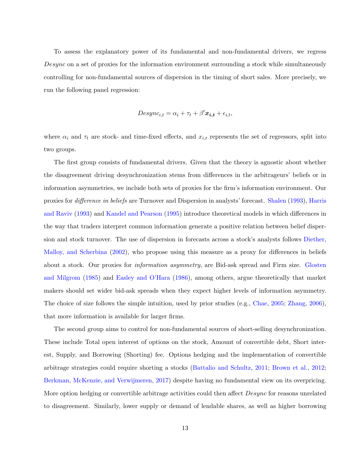To assess the explanatory power of its fundamental and non-fundamental drivers, we regress Desync on a set of proxies for the information environment surrounding a stock while simultaneously controlling for non-fundamental sources of dispersion in the timing of short sales. More precisely, we run the following panel regression:

$$
Desync_{i,t} = \alpha_i + \tau_t + \beta' \mathbf{x_{i,t}} + \epsilon_{i,t},
$$

where  $\alpha_i$  and  $\tau_t$  are stock- and time-fixed effects, and  $x_{i,t}$  represents the set of regressors, split into two groups.

The first group consists of fundamental drivers. Given that the theory is agnostic about whether the disagreement driving desynchronization stems from differences in the arbitrageurs' beliefs or in information asymmetries, we include both sets of proxies for the firm's information environment. Our proxies for difference in beliefs are Turnover and Dispersion in analysts' forecast. [Shalen](#page-37-9) [\(1993\)](#page-37-9), [Harris](#page-35-6) [and Raviv](#page-35-6) [\(1993\)](#page-35-6) and [Kandel and Pearson](#page-36-10) [\(1995\)](#page-36-10) introduce theoretical models in which differences in the way that traders interpret common information generate a positive relation between belief dispersion and stock turnover. The use of dispersion in forecasts across a stock's analysts follows [Diether,](#page-34-10) [Malloy, and Scherbina](#page-34-10) [\(2002\)](#page-34-10), who propose using this measure as a proxy for differences in beliefs about a stock. Our proxies for information asymmetry, are Bid-ask spread and Firm size. [Glosten](#page-35-7) [and Milgrom](#page-35-7) [\(1985\)](#page-35-7) and [Easley and O'Hara](#page-34-11) [\(1986\)](#page-34-11), among others, argue theoretically that market makers should set wider bid-ask spreads when they expect higher levels of information asymmetry. The choice of size follows the simple intuition, used by prior studies (e.g., [Chae,](#page-33-9) [2005;](#page-33-9) [Zhang,](#page-37-10) [2006\)](#page-37-10), that more information is available for larger firms.

The second group aims to control for non-fundamental sources of short-selling desynchronization. These include Total open interest of options on the stock, Amount of convertible debt, Short interest, Supply, and Borrowing (Shorting) fee. Options hedging and the implementation of convertible arbitrage strategies could require shorting a stocks [\(Battalio and Schultz,](#page-32-6) [2011;](#page-32-6) [Brown et al.,](#page-33-8) [2012;](#page-33-8) [Berkman, McKenzie, and Verwijmeren,](#page-32-7) [2017\)](#page-32-7) despite having no fundamental view on its overpricing. More option hedging or convertible arbitrage activities could then affect *Desync* for reasons unrelated to disagreement. Similarly, lower supply or demand of lendable shares, as well as higher borrowing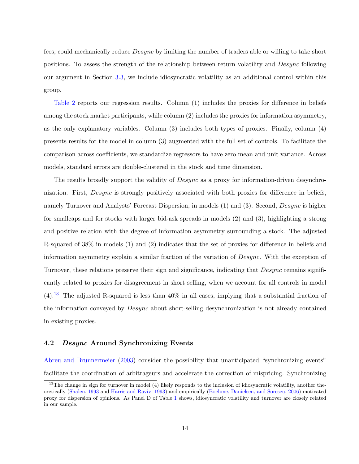fees, could mechanically reduce Desync by limiting the number of traders able or willing to take short positions. To assess the strength of the relationship between return volatility and Desync following our argument in Section [3.3,](#page-9-0) we include idiosyncratic volatility as an additional control within this group.

Table [2](#page-42-0) reports our regression results. Column (1) includes the proxies for difference in beliefs among the stock market participants, while column (2) includes the proxies for information asymmetry, as the only explanatory variables. Column (3) includes both types of proxies. Finally, column (4) presents results for the model in column (3) augmented with the full set of controls. To facilitate the comparison across coefficients, we standardize regressors to have zero mean and unit variance. Across models, standard errors are double-clustered in the stock and time dimension.

The results broadly support the validity of *Desync* as a proxy for information-driven desynchronization. First, *Desync* is strongly positively associated with both proxies for difference in beliefs, namely Turnover and Analysts' Forecast Dispersion, in models (1) and (3). Second, *Desync* is higher for smallcaps and for stocks with larger bid-ask spreads in models (2) and (3), highlighting a strong and positive relation with the degree of information asymmetry surrounding a stock. The adjusted R-squared of 38% in models (1) and (2) indicates that the set of proxies for difference in beliefs and information asymmetry explain a similar fraction of the variation of Desync. With the exception of Turnover, these relations preserve their sign and significance, indicating that *Desync* remains significantly related to proxies for disagreement in short selling, when we account for all controls in model  $(4).$ <sup>[13](#page-0-0)</sup> The adjusted R-squared is less than  $40\%$  in all cases, implying that a substantial fraction of the information conveyed by Desync about short-selling desynchronization is not already contained in existing proxies.

## <span id="page-14-0"></span>4.2 Desync Around Synchronizing Events

[Abreu and Brunnermeier](#page-32-1) [\(2003\)](#page-32-1) consider the possibility that unanticipated "synchronizing events" facilitate the coordination of arbitrageurs and accelerate the correction of mispricing. Synchronizing

 $13$ The change in sign for turnover in model (4) likely responds to the inclusion of idiosyncratic volatility, another theoretically [\(Shalen,](#page-37-9) [1993](#page-37-9) and [Harris and Raviv,](#page-35-6) [1993\)](#page-35-6) and empirically [\(Boehme, Danielsen, and Sorescu,](#page-33-0) [2006\)](#page-33-0) motivated proxy for dispersion of opinions. As Panel D of Table [1](#page-40-0) shows, idiosyncratic volatility and turnover are closely related in our sample.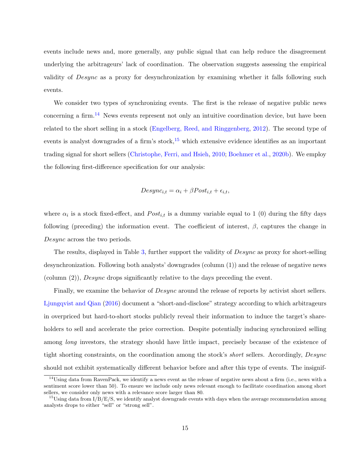events include news and, more generally, any public signal that can help reduce the disagreement underlying the arbitrageurs' lack of coordination. The observation suggests assessing the empirical validity of Desync as a proxy for desynchronization by examining whether it falls following such events.

We consider two types of synchronizing events. The first is the release of negative public news concerning a firm.<sup>[14](#page-0-0)</sup> News events represent not only an intuitive coordination device, but have been related to the short selling in a stock [\(Engelberg, Reed, and Ringgenberg,](#page-34-12) [2012\)](#page-34-12). The second type of events is analyst downgrades of a firm's stock,  $15$  which extensive evidence identifies as an important trading signal for short sellers [\(Christophe, Ferri, and Hsieh,](#page-33-10) [2010;](#page-33-10) [Boehmer et al.,](#page-33-11) [2020b\)](#page-33-11). We employ the following first-difference specification for our analysis:

$$
Desync_{i,t} = \alpha_i + \beta Post_{i,t} + \epsilon_{i,t},
$$

where  $\alpha_i$  is a stock fixed-effect, and  $Post_{i,t}$  is a dummy variable equal to 1 (0) during the fifty days following (preceding) the information event. The coefficient of interest,  $\beta$ , captures the change in Desync across the two periods.

The results, displayed in Table [3,](#page-43-0) further support the validity of *Desync* as proxy for short-selling desynchronization. Following both analysts' downgrades (column (1)) and the release of negative news (column  $(2)$ ), *Desync* drops significantly relative to the days preceding the event.

Finally, we examine the behavior of *Desync* around the release of reports by activist short sellers. [Ljungqvist and Qian](#page-36-6) [\(2016\)](#page-36-6) document a "short-and-disclose" strategy according to which arbitrageurs in overpriced but hard-to-short stocks publicly reveal their information to induce the target's shareholders to sell and accelerate the price correction. Despite potentially inducing synchronized selling among *long* investors, the strategy should have little impact, precisely because of the existence of tight shorting constraints, on the coordination among the stock's *short* sellers. Accordingly, Desync should not exhibit systematically different behavior before and after this type of events. The insignif-

<sup>&</sup>lt;sup>14</sup>Using data from RavenPack, we identify a news event as the release of negative news about a firm (i.e., news with a sentiment score lower than 50). To ensure we include only news relevant enough to facilitate coordination among short sellers, we consider only news with a relevance score larger than 80.

<sup>&</sup>lt;sup>15</sup>Using data from  $I/B/E/S$ , we identify analyst downgrade events with days when the average recommendation among analysts drops to either "sell" or "strong sell".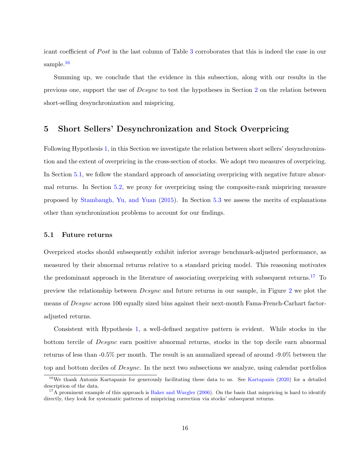icant coefficient of Post in the last column of Table [3](#page-43-0) corroborates that this is indeed the case in our sample.<sup>[16](#page-0-0)</sup>

Summing up, we conclude that the evidence in this subsection, along with our results in the previous one, support the use of Desync to test the hypotheses in Section [2](#page-6-0) on the relation between short-selling desynchronization and mispricing.

# <span id="page-16-0"></span>5 Short Sellers' Desynchronization and Stock Overpricing

Following Hypothesis [1,](#page-6-1) in this Section we investigate the relation between short sellers' desynchronization and the extent of overpricing in the cross-section of stocks. We adopt two measures of overpricing. In Section [5.1,](#page-16-1) we follow the standard approach of associating overpricing with negative future abnormal returns. In Section [5.2,](#page-20-0) we proxy for overpricing using the composite-rank mispricing measure proposed by [Stambaugh, Yu, and Yuan](#page-37-0) [\(2015\)](#page-37-0). In Section [5.3](#page-21-0) we assess the merits of explanations other than synchronization problems to account for our findings.

## <span id="page-16-1"></span>5.1 Future returns

Overpriced stocks should subsequently exhibit inferior average benchmark-adjusted performance, as measured by their abnormal returns relative to a standard pricing model. This reasoning motivates the predominant approach in the literature of associating overpricing with subsequent returns.<sup>[17](#page-0-0)</sup> To preview the relationship between Desync and future returns in our sample, in Figure [2](#page-39-0) we plot the means of Desync across 100 equally sized bins against their next-month Fama-French-Carhart factoradjusted returns.

Consistent with Hypothesis [1,](#page-6-1) a well-defined negative pattern is evident. While stocks in the bottom tercile of Desync earn positive abnormal returns, stocks in the top decile earn abnormal returns of less than -0.5% per month. The result is an annualized spread of around -9.0% between the top and bottom deciles of *Desync*. In the next two subsections we analyze, using calendar portfolios

<sup>&</sup>lt;sup>16</sup>We thank Antonis [Kartapanis](#page-36-11) for generously facilitating these data to us. See Kartapanis [\(2020\)](#page-36-11) for a detailed description of the data.

 $17A$  prominent example of this approach is [Baker and Wurgler](#page-32-8) [\(2006\)](#page-32-8). On the basis that mispricing is hard to identify directly, they look for systematic patterns of mispricing correction via stocks' subsequent returns.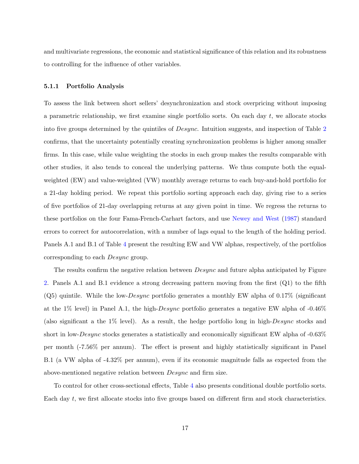and multivariate regressions, the economic and statistical significance of this relation and its robustness to controlling for the influence of other variables.

#### <span id="page-17-0"></span>5.1.1 Portfolio Analysis

To assess the link between short sellers' desynchronization and stock overpricing without imposing a parametric relationship, we first examine single portfolio sorts. On each day  $t$ , we allocate stocks into five groups determined by the quintiles of Desync. Intuition suggests, and inspection of Table [2](#page-42-0) confirms, that the uncertainty potentially creating synchronization problems is higher among smaller firms. In this case, while value weighting the stocks in each group makes the results comparable with other studies, it also tends to conceal the underlying patterns. We thus compute both the equalweighted (EW) and value-weighted (VW) monthly average returns to each buy-and-hold portfolio for a 21-day holding period. We repeat this portfolio sorting approach each day, giving rise to a series of five portfolios of 21-day overlapping returns at any given point in time. We regress the returns to these portfolios on the four Fama-French-Carhart factors, and use [Newey and West](#page-36-12) [\(1987\)](#page-36-12) standard errors to correct for autocorrelation, with a number of lags equal to the length of the holding period. Panels A.1 and B.1 of Table [4](#page-44-0) present the resulting EW and VW alphas, respectively, of the portfolios corresponding to each Desync group.

The results confirm the negative relation between *Desync* and future alpha anticipated by Figure [2.](#page-39-0) Panels A.1 and B.1 evidence a strong decreasing pattern moving from the first (Q1) to the fifth  $(Q5)$  quintile. While the low-Desync portfolio generates a monthly EW alpha of 0.17% (significant at the 1% level) in Panel A.1, the high- $Desync$  portfolio generates a negative EW alpha of  $-0.46\%$ (also significant a the 1% level). As a result, the hedge portfolio long in high-Desync stocks and short in low-Desync stocks generates a statistically and economically significant EW alpha of -0.63% per month (-7.56% per annum). The effect is present and highly statistically significant in Panel B.1 (a VW alpha of -4.32% per annum), even if its economic magnitude falls as expected from the above-mentioned negative relation between Desync and firm size.

To control for other cross-sectional effects, Table [4](#page-44-0) also presents conditional double portfolio sorts. Each day t, we first allocate stocks into five groups based on different firm and stock characteristics.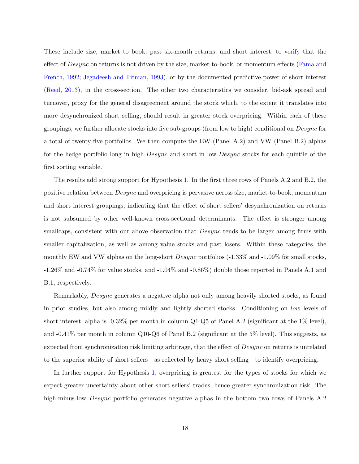These include size, market to book, past six-month returns, and short interest, to verify that the effect of *Desync* on returns is not driven by the size, market-to-book, or momentum effects [\(Fama and](#page-35-8) [French,](#page-35-8) [1992;](#page-35-8) [Jegadeesh and Titman,](#page-35-9) [1993\)](#page-35-9), or by the documented predictive power of short interest [\(Reed,](#page-37-11) [2013\)](#page-37-11), in the cross-section. The other two characteristics we consider, bid-ask spread and turnover, proxy for the general disagreement around the stock which, to the extent it translates into more desynchronized short selling, should result in greater stock overpricing. Within each of these groupings, we further allocate stocks into five sub-groups (from low to high) conditional on Desync for a total of twenty-five portfolios. We then compute the EW (Panel A.2) and VW (Panel B.2) alphas for the hedge portfolio long in high-Desync and short in low-Desync stocks for each quintile of the first sorting variable.

The results add strong support for Hypothesis [1.](#page-6-1) In the first three rows of Panels A.2 and B.2, the positive relation between Desync and overpricing is pervasive across size, market-to-book, momentum and short interest groupings, indicating that the effect of short sellers' desynchronization on returns is not subsumed by other well-known cross-sectional determinants. The effect is stronger among smallcaps, consistent with our above observation that *Desync* tends to be larger among firms with smaller capitalization, as well as among value stocks and past losers. Within these categories, the monthly EW and VW alphas on the long-short *Desync* portfolios (-1.33% and -1.09% for small stocks, -1.26% and -0.74% for value stocks, and -1.04% and -0.86%) double those reported in Panels A.1 and B.1, respectively.

Remarkably, *Desync* generates a negative alpha not only among heavily shorted stocks, as found in prior studies, but also among mildly and lightly shorted stocks. Conditioning on low levels of short interest, alpha is  $-0.32\%$  per month in column Q1-Q5 of Panel A.2 (significant at the 1% level), and -0.41% per month in column Q10-Q6 of Panel B.2 (significant at the 5% level). This suggests, as expected from synchronization risk limiting arbitrage, that the effect of Desync on returns is unrelated to the superior ability of short sellers—as reflected by heavy short selling—to identify overpricing.

In further support for Hypothesis [1,](#page-6-1) overpricing is greatest for the types of stocks for which we expect greater uncertainty about other short sellers' trades, hence greater synchronization risk. The high-minus-low *Desync* portfolio generates negative alphas in the bottom two rows of Panels A.2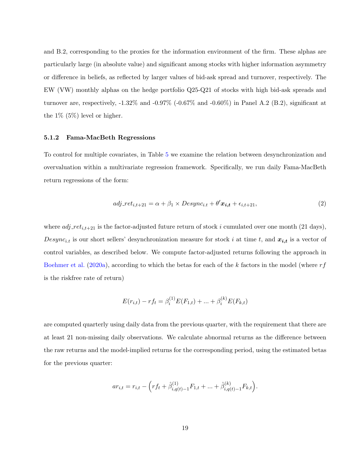and B.2, corresponding to the proxies for the information environment of the firm. These alphas are particularly large (in absolute value) and significant among stocks with higher information asymmetry or difference in beliefs, as reflected by larger values of bid-ask spread and turnover, respectively. The EW (VW) monthly alphas on the hedge portfolio Q25-Q21 of stocks with high bid-ask spreads and turnover are, respectively,  $-1.32\%$  and  $-0.97\%$  ( $-0.67\%$  and  $-0.60\%$ ) in Panel A.2 (B.2), significant at the  $1\%$  (5%) level or higher.

#### 5.1.2 Fama-MacBeth Regressions

To control for multiple covariates, in Table [5](#page-45-0) we examine the relation between desynchronization and overvaluation within a multivariate regression framework. Specifically, we run daily Fama-MacBeth return regressions of the form:

<span id="page-19-0"></span>
$$
adj\_ret_{i,t+21} = \alpha + \beta_1 \times Desync_{i,t} + \theta' \mathbf{x}_{i,t} + \epsilon_{i,t+21},
$$
\n<sup>(2)</sup>

where  $adj\_ret_{i,t+21}$  is the factor-adjusted future return of stock i cumulated over one month (21 days), Desync<sub>i.t</sub> is our short sellers' desynchronization measure for stock i at time t, and  $x_{i,t}$  is a vector of control variables, as described below. We compute factor-adjusted returns following the approach in [Boehmer et al.](#page-33-5) [\(2020a\)](#page-33-5), according to which the betas for each of the k factors in the model (where  $rf$ is the riskfree rate of return)

$$
E(r_{i,t}) - rf_t = \beta_i^{(1)} E(F_{1,t}) + \dots + \beta_i^{(k)} E(F_{k,t})
$$

are computed quarterly using daily data from the previous quarter, with the requirement that there are at least 21 non-missing daily observations. We calculate abnormal returns as the difference between the raw returns and the model-implied returns for the corresponding period, using the estimated betas for the previous quarter:

$$
ar_{i,t} = r_{i,t} - \left( rf_t + \hat{\beta}_{i,q(t)-1}^{(1)} F_{1,t} + \dots + \hat{\beta}_{i,q(t)-1}^{(k)} F_{k,t} \right).
$$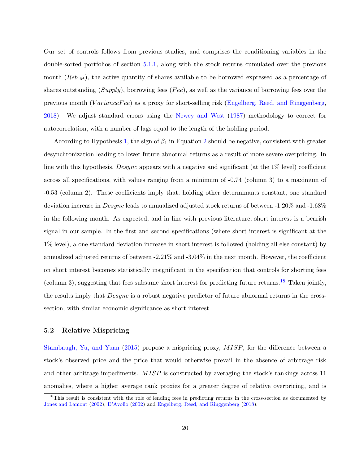Our set of controls follows from previous studies, and comprises the conditioning variables in the double-sorted portfolios of section [5.1.1,](#page-17-0) along with the stock returns cumulated over the previous month  $(Ret<sub>1M</sub>)$ , the active quantity of shares available to be borrowed expressed as a percentage of shares outstanding  $(Supply)$ , borrowing fees (Fee), as well as the variance of borrowing fees over the previous month (*VarianceFee*) as a proxy for short-selling risk [\(Engelberg, Reed, and Ringgenberg,](#page-34-2) [2018\)](#page-34-2). We adjust standard errors using the [Newey and West](#page-36-12) [\(1987\)](#page-36-12) methodology to correct for autocorrelation, with a number of lags equal to the length of the holding period.

According to Hypothesis [1,](#page-6-1) the sign of  $\beta_1$  in Equation [2](#page-19-0) should be negative, consistent with greater desynchronization leading to lower future abnormal returns as a result of more severe overpricing. In line with this hypothesis, Desync appears with a negative and significant (at the 1% level) coefficient across all specifications, with values ranging from a minimum of -0.74 (column 3) to a maximum of -0.53 (column 2). These coefficients imply that, holding other determinants constant, one standard deviation increase in Desync leads to annualized adjusted stock returns of between -1.20% and -1.68% in the following month. As expected, and in line with previous literature, short interest is a bearish signal in our sample. In the first and second specifications (where short interest is significant at the 1% level), a one standard deviation increase in short interest is followed (holding all else constant) by annualized adjusted returns of between -2.21% and -3.04% in the next month. However, the coefficient on short interest becomes statistically insignificant in the specification that controls for shorting fees (column 3), suggesting that fees subsume short interest for predicting future returns.<sup>[18](#page-0-0)</sup> Taken jointly, the results imply that *Desync* is a robust negative predictor of future abnormal returns in the crosssection, with similar economic significance as short interest.

#### <span id="page-20-0"></span>5.2 Relative Mispricing

[Stambaugh, Yu, and Yuan](#page-37-0) [\(2015\)](#page-37-0) propose a mispricing proxy, MISP, for the difference between a stock's observed price and the price that would otherwise prevail in the absence of arbitrage risk and other arbitrage impediments. MISP is constructed by averaging the stock's rankings across 11 anomalies, where a higher average rank proxies for a greater degree of relative overpricing, and is

<sup>&</sup>lt;sup>18</sup>This result is consistent with the role of lending fees in predicting returns in the cross-section as documented by [Jones and Lamont](#page-35-2) [\(2002\)](#page-35-2), [D'Avolio](#page-34-1) [\(2002\)](#page-34-1) and [Engelberg, Reed, and Ringgenberg](#page-34-2) [\(2018\)](#page-34-2).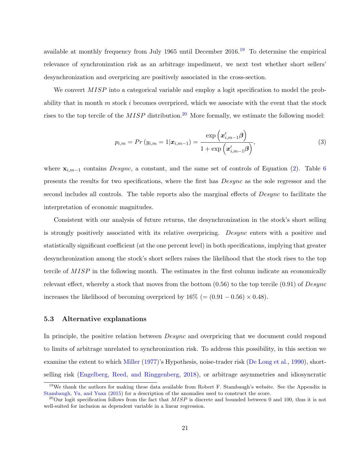available at monthly frequency from July [19](#page-0-0)65 until December  $2016<sup>19</sup>$  To determine the empirical relevance of synchronization risk as an arbitrage impediment, we next test whether short sellers' desynchronization and overpricing are positively associated in the cross-section.

We convert MISP into a categorical variable and employ a logit specification to model the probability that in month  $m$  stock  $i$  becomes overpriced, which we associate with the event that the stock rises to the top tercile of the  $MISP$  distribution.<sup>[20](#page-0-0)</sup> More formally, we estimate the following model:

<span id="page-21-1"></span>
$$
p_{i,m} = Pr(y_{i,m} = 1 | \bm{x}_{i,m-1}) = \frac{\exp\left(\bm{x}'_{i,m-1}\bm{\beta}\right)}{1 + \exp\left(\bm{x}'_{i,m-1}\bm{\beta}\right)},\tag{3}
$$

where  $\mathbf{x}_{i,m-1}$  contains Desync, a constant, and the same set of controls of Equation [\(2\)](#page-19-0). Table [6](#page-46-0) presents the results for two specifications, where the first has Desync as the sole regressor and the second includes all controls. The table reports also the marginal effects of Desync to facilitate the interpretation of economic magnitudes.

Consistent with our analysis of future returns, the desynchronization in the stock's short selling is strongly positively associated with its relative overpricing. Desync enters with a positive and statistically significant coefficient (at the one percent level) in both specifications, implying that greater desynchronization among the stock's short sellers raises the likelihood that the stock rises to the top tercile of MISP in the following month. The estimates in the first column indicate an economically relevant effect, whereby a stock that moves from the bottom  $(0.56)$  to the top tercile  $(0.91)$  of Desync increases the likelihood of becoming overpriced by  $16\%$  (=  $(0.91 - 0.56) \times 0.48$ ).

### <span id="page-21-0"></span>5.3 Alternative explanations

In principle, the positive relation between *Desync* and overpricing that we document could respond to limits of arbitrage unrelated to synchronization risk. To address this possibility, in this section we examine the extent to which [Miller](#page-36-1) [\(1977\)](#page-36-1)'s Hypothesis, noise-trader risk [\(De Long et al.,](#page-34-0) [1990\)](#page-34-0), shortselling risk [\(Engelberg, Reed, and Ringgenberg,](#page-34-2) [2018\)](#page-34-2), or arbitrage asymmetries and idiosyncratic

<sup>&</sup>lt;sup>19</sup>We thank the authors for making these data available from Robert F. Stambaugh's website. See the Appendix in [Stambaugh, Yu, and Yuan](#page-37-0) [\(2015\)](#page-37-0) for a description of the anomalies used to construct the score.

<sup>&</sup>lt;sup>20</sup>Our logit specification follows from the fact that  $MISP$  is discrete and bounded between 0 and 100, thus it is not well-suited for inclusion as dependent variable in a linear regression.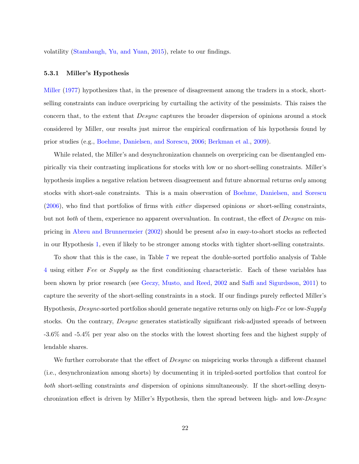volatility [\(Stambaugh, Yu, and Yuan,](#page-37-0) [2015\)](#page-37-0), relate to our findings.

#### 5.3.1 Miller's Hypothesis

[Miller](#page-36-1) [\(1977\)](#page-36-1) hypothesizes that, in the presence of disagreement among the traders in a stock, shortselling constraints can induce overpricing by curtailing the activity of the pessimists. This raises the concern that, to the extent that *Desync* captures the broader dispersion of opinions around a stock considered by Miller, our results just mirror the empirical confirmation of his hypothesis found by prior studies (e.g., [Boehme, Danielsen, and Sorescu,](#page-33-0) [2006;](#page-33-0) [Berkman et al.,](#page-32-9) [2009\)](#page-32-9).

While related, the Miller's and desynchronization channels on overpricing can be disentangled empirically via their contrasting implications for stocks with low or no short-selling constraints. Miller's hypothesis implies a negative relation between disagreement and future abnormal returns only among stocks with short-sale constraints. This is a main observation of [Boehme, Danielsen, and Sorescu](#page-33-0)  $(2006)$ , who find that portfolios of firms with *either* dispersed opinions or short-selling constraints, but not *both* of them, experience no apparent overvaluation. In contrast, the effect of *Desync* on mispricing in [Abreu and Brunnermeier](#page-32-0) [\(2002\)](#page-32-0) should be present also in easy-to-short stocks as reflected in our Hypothesis [1,](#page-6-1) even if likely to be stronger among stocks with tighter short-selling constraints.

To show that this is the case, in Table [7](#page-47-0) we repeat the double-sorted portfolio analysis of Table [4](#page-44-0) using either Fee or Supply as the first conditioning characteristic. Each of these variables has been shown by prior research (see [Geczy, Musto, and Reed,](#page-35-10) [2002](#page-35-10) and [Saffi and Sigurdsson,](#page-37-2) [2011\)](#page-37-2) to capture the severity of the short-selling constraints in a stock. If our findings purely reflected Miller's Hypothesis, *Desync*-sorted portfolios should generate negative returns only on high-Fee or low-Supply stocks. On the contrary, *Desync* generates statistically significant risk-adjusted spreads of between -3.6% and -5.4% per year also on the stocks with the lowest shorting fees and the highest supply of lendable shares.

We further corroborate that the effect of *Desync* on mispricing works through a different channel (i.e., desynchronization among shorts) by documenting it in tripled-sorted portfolios that control for both short-selling constraints and dispersion of opinions simultaneously. If the short-selling desynchronization effect is driven by Miller's Hypothesis, then the spread between high- and low-Desync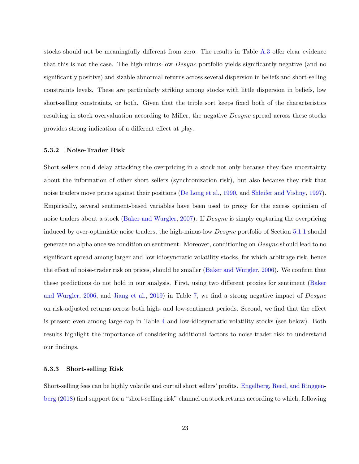stocks should not be meaningfully different from zero. The results in Table [A.3](#page-54-0) offer clear evidence that this is not the case. The high-minus-low *Desync* portfolio yields significantly negative (and no significantly positive) and sizable abnormal returns across several dispersion in beliefs and short-selling constraints levels. These are particularly striking among stocks with little dispersion in beliefs, low short-selling constraints, or both. Given that the triple sort keeps fixed both of the characteristics resulting in stock overvaluation according to Miller, the negative Desync spread across these stocks provides strong indication of a different effect at play.

#### 5.3.2 Noise-Trader Risk

Short sellers could delay attacking the overpricing in a stock not only because they face uncertainty about the information of other short sellers (synchronization risk), but also because they risk that noise traders move prices against their positions [\(De Long et al.,](#page-34-0) [1990,](#page-34-0) and [Shleifer and Vishny,](#page-37-1) [1997\)](#page-37-1). Empirically, several sentiment-based variables have been used to proxy for the excess optimism of noise traders about a stock [\(Baker and Wurgler,](#page-32-10) [2007\)](#page-32-10). If Desync is simply capturing the overpricing induced by over-optimistic noise traders, the high-minus-low Desync portfolio of Section [5.1.1](#page-17-0) should generate no alpha once we condition on sentiment. Moreover, conditioning on Desync should lead to no significant spread among larger and low-idiosyncratic volatility stocks, for which arbitrage risk, hence the effect of noise-trader risk on prices, should be smaller [\(Baker and Wurgler,](#page-32-8) [2006\)](#page-32-8). We confirm that these predictions do not hold in our analysis. First, using two different proxies for sentiment [\(Baker](#page-32-8) [and Wurgler,](#page-32-8) [2006,](#page-32-8) and [Jiang et al.,](#page-35-11) [2019\)](#page-35-11) in Table [7,](#page-47-0) we find a strong negative impact of Desync on risk-adjusted returns across both high- and low-sentiment periods. Second, we find that the effect is present even among large-cap in Table [4](#page-44-0) and low-idiosyncratic volatility stocks (see below). Both results highlight the importance of considering additional factors to noise-trader risk to understand our findings.

#### 5.3.3 Short-selling Risk

Short-selling fees can be highly volatile and curtail short sellers' profits. [Engelberg, Reed, and Ringgen](#page-34-2)[berg](#page-34-2) [\(2018\)](#page-34-2) find support for a "short-selling risk" channel on stock returns according to which, following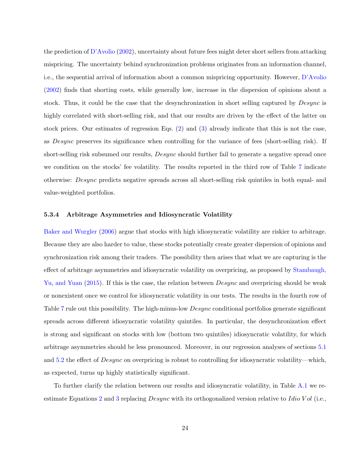the prediction of [D'Avolio](#page-34-1) [\(2002\)](#page-34-1), uncertainty about future fees might deter short sellers from attacking mispricing. The uncertainty behind synchronization problems originates from an information channel, i.e., the sequential arrival of information about a common mispricing opportunity. However, [D'Avolio](#page-34-1) [\(2002\)](#page-34-1) finds that shorting costs, while generally low, increase in the dispersion of opinions about a stock. Thus, it could be the case that the desynchronization in short selling captured by *Desync* is highly correlated with short-selling risk, and that our results are driven by the effect of the latter on stock prices. Our estimates of regression Eqs. [\(2\)](#page-19-0) and [\(3\)](#page-21-1) already indicate that this is not the case, as Desync preserves its significance when controlling for the variance of fees (short-selling risk). If short-selling risk subsumed our results,  $Desync$  should further fail to generate a negative spread once we condition on the stocks' fee volatility. The results reported in the third row of Table [7](#page-47-0) indicate otherwise: Desync predicts negative spreads across all short-selling risk quintiles in both equal- and value-weighted portfolios.

#### <span id="page-24-0"></span>5.3.4 Arbitrage Asymmetries and Idiosyncratic Volatility

[Baker and Wurgler](#page-32-8) [\(2006\)](#page-32-8) argue that stocks with high idiosyncratic volatility are riskier to arbitrage. Because they are also harder to value, these stocks potentially create greater dispersion of opinions and synchronization risk among their traders. The possibility then arises that what we are capturing is the effect of arbitrage asymmetries and idiosyncratic volatility on overpricing, as proposed by [Stambaugh,](#page-37-0) [Yu, and Yuan](#page-37-0) [\(2015\)](#page-37-0). If this is the case, the relation between *Desync* and overpricing should be weak or nonexistent once we control for idiosyncratic volatility in our tests. The results in the fourth row of Table [7](#page-47-0) rule out this possibility. The high-minus-low *Desync* conditional portfolios generate significant spreads across different idiosyncratic volatility quintiles. In particular, the desynchronization effect is strong and significant on stocks with low (bottom two quintiles) idiosyncratic volatility, for which arbitrage asymmetries should be less pronounced. Moreover, in our regression analyses of sections [5.1](#page-16-1) and [5.2](#page-20-0) the effect of *Desync* on overpricing is robust to controlling for idiosyncratic volatility—which, as expected, turns up highly statistically significant.

To further clarify the relation between our results and idiosyncratic volatility, in Table [A.1](#page-52-0) we re-estimate Equations [2](#page-19-0) and [3](#page-21-1) replacing *Desync* with its orthogonalized version relative to Idio V ol (i.e.,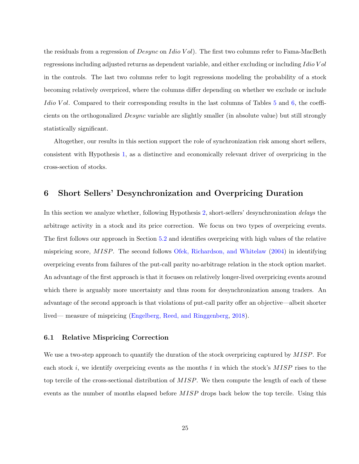the residuals from a regression of  $Desync$  on Idio Vol). The first two columns refer to Fama-MacBeth regressions including adjusted returns as dependent variable, and either excluding or including Idio Vol in the controls. The last two columns refer to logit regressions modeling the probability of a stock becoming relatively overpriced, where the columns differ depending on whether we exclude or include Idio Vol. Compared to their corresponding results in the last columns of Tables [5](#page-45-0) and [6,](#page-46-0) the coefficients on the orthogonalized Desync variable are slightly smaller (in absolute value) but still strongly statistically significant.

Altogether, our results in this section support the role of synchronization risk among short sellers, consistent with Hypothesis [1,](#page-6-1) as a distinctive and economically relevant driver of overpricing in the cross-section of stocks.

# <span id="page-25-0"></span>6 Short Sellers' Desynchronization and Overpricing Duration

In this section we analyze whether, following Hypothesis [2,](#page-7-1) short-sellers' desynchronization delays the arbitrage activity in a stock and its price correction. We focus on two types of overpricing events. The first follows our approach in Section [5.2](#page-20-0) and identifies overpricing with high values of the relative mispricing score, MISP. The second follows [Ofek, Richardson, and Whitelaw](#page-36-2) [\(2004\)](#page-36-2) in identifying overpricing events from failures of the put-call parity no-arbitrage relation in the stock option market. An advantage of the first approach is that it focuses on relatively longer-lived overpricing events around which there is arguably more uncertainty and thus room for desynchronization among traders. An advantage of the second approach is that violations of put-call parity offer an objective—albeit shorter lived— measure of mispricing [\(Engelberg, Reed, and Ringgenberg,](#page-34-2) [2018\)](#page-34-2).

# <span id="page-25-1"></span>6.1 Relative Mispricing Correction

We use a two-step approach to quantify the duration of the stock overpricing captured by MISP. For each stock i, we identify overpricing events as the months t in which the stock's  $MISP$  rises to the top tercile of the cross-sectional distribution of  $MISP$ . We then compute the length of each of these events as the number of months elapsed before MISP drops back below the top tercile. Using this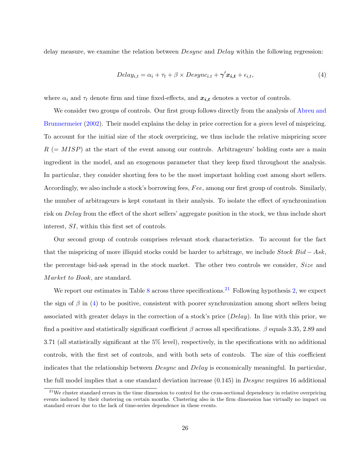delay measure, we examine the relation between  $Desync$  and  $Delay$  within the following regression:

<span id="page-26-0"></span>
$$
Delay_{i,t} = \alpha_i + \tau_t + \beta \times Desync_{i,t} + \gamma' \mathbf{x}_{i,t} + \epsilon_{i,t},
$$
\n
$$
\tag{4}
$$

where  $\alpha_i$  and  $\tau_t$  denote firm and time fixed-effects, and  $\mathbf{x}_{i,t}$  denotes a vector of controls.

We consider two groups of controls. Our first group follows directly from the analysis of [Abreu and](#page-32-0) [Brunnermeier](#page-32-0) [\(2002\)](#page-32-0). Their model explains the delay in price correction for a *given* level of mispricing. To account for the initial size of the stock overpricing, we thus include the relative mispricing score  $R$  (=  $MISP$ ) at the start of the event among our controls. Arbitrageurs' holding costs are a main ingredient in the model, and an exogenous parameter that they keep fixed throughout the analysis. In particular, they consider shorting fees to be the most important holding cost among short sellers. Accordingly, we also include a stock's borrowing fees, Fee, among our first group of controls. Similarly, the number of arbitrageurs is kept constant in their analysis. To isolate the effect of synchronization risk on Delay from the effect of the short sellers' aggregate position in the stock, we thus include short interest, SI, within this first set of controls.

Our second group of controls comprises relevant stock characteristics. To account for the fact that the mispricing of more illiquid stocks could be harder to arbitrage, we include  $Stock Bid - Ask$ , the percentage bid-ask spread in the stock market. The other two controls we consider, Size and Market to Book, are standard.

We report our estimates in Table [8](#page-48-0) across three specifications.<sup>[21](#page-0-0)</sup> Following hypothesis [2,](#page-7-1) we expect the sign of  $\beta$  in [\(4\)](#page-26-0) to be positive, consistent with poorer synchronization among short sellers being associated with greater delays in the correction of a stock's price  $(Delay)$ . In line with this prior, we find a positive and statistically significant coefficient  $\beta$  across all specifications.  $\beta$  equals 3.35, 2.89 and 3.71 (all statistically significant at the 5% level), respectively, in the specifications with no additional controls, with the first set of controls, and with both sets of controls. The size of this coefficient indicates that the relationship between *Desync* and *Delay* is economically meaningful. In particular, the full model implies that a one standard deviation increase  $(0.145)$  in  $Desync$  requires 16 additional

 $21$ We cluster standard errors in the time dimension to control for the cross-sectional dependency in relative overpricing events induced by their clustering on certain months. Clustering also in the firm dimension has virtually no impact on standard errors due to the lack of time-series dependence in these events.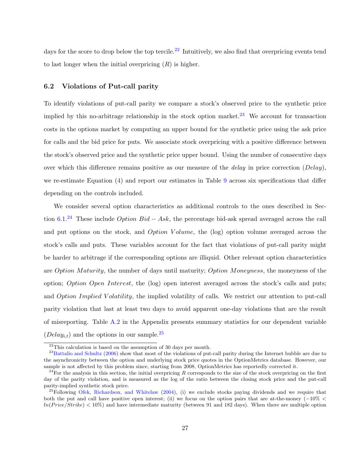days for the score to drop below the top tercile.<sup>[22](#page-0-0)</sup> Intuitively, we also find that overpricing events tend to last longer when the initial overpricing  $(R)$  is higher.

### 6.2 Violations of Put-call parity

To identify violations of put-call parity we compare a stock's observed price to the synthetic price implied by this no-arbitrage relationship in the stock option market.<sup>[23](#page-0-0)</sup> We account for transaction costs in the options market by computing an upper bound for the synthetic price using the ask price for calls and the bid price for puts. We associate stock overpricing with a positive difference between the stock's observed price and the synthetic price upper bound. Using the number of consecutive days over which this difference remains positive as our measure of the *delay* in price correction  $(Delay)$ , we re-estimate Equation [\(4\)](#page-26-0) and report our estimates in Table [9](#page-49-0) across six specifications that differ depending on the controls included.

We consider several option characteristics as additional controls to the ones described in Sec-tion [6.1.](#page-25-1)<sup>[24](#page-0-0)</sup> These include *Option Bid* – Ask, the percentage bid-ask spread averaged across the call and put options on the stock, and *Option Volume*, the (log) option volume averaged across the stock's calls and puts. These variables account for the fact that violations of put-call parity might be harder to arbitrage if the corresponding options are illiquid. Other relevant option characteristics are Option Maturity, the number of days until maturity; Option Moneyness, the moneyness of the option; Option Open Interest, the (log) open interest averaged across the stock's calls and puts; and Option Implied Volatility, the implied volatility of calls. We restrict our attention to put-call parity violation that last at least two days to avoid apparent one-day violations that are the result of misreporting. Table [A.2](#page-53-0) in the Appendix presents summary statistics for our dependent variable  $(Delay_{i,t})$  and the options in our sample.<sup>[25](#page-0-0)</sup>

 $22$ This calculation is based on the assumption of 30 days per month.

 $^{23}$ [Battalio and Schultz](#page-32-11) [\(2006\)](#page-32-11) show that most of the violations of put-call parity during the Internet bubble are due to the asynchronicity between the option and underlying stock price quotes in the OptionMetrics database. However, our sample is not affected by this problem since, starting from 2008, OptionMetrics has reportedly corrected it.

<sup>&</sup>lt;sup>24</sup>For the analysis in this section, the initial overpricing R corresponds to the size of the stock overpricing on the first day of the parity violation, and is measured as the log of the ratio between the closing stock price and the put-call parity-implied synthetic stock price.

<sup>&</sup>lt;sup>25</sup>Following [Ofek, Richardson, and Whitelaw](#page-36-2) [\(2004\)](#page-36-2), (i) we exclude stocks paying dividends and we require that both the put and call have positive open interest; (ii) we focus on the option pairs that are at-the-money (−10% <  $ln(Price/Strike) < 10\%$  and have intermediate maturity (between 91 and 182 days). When there are multiple option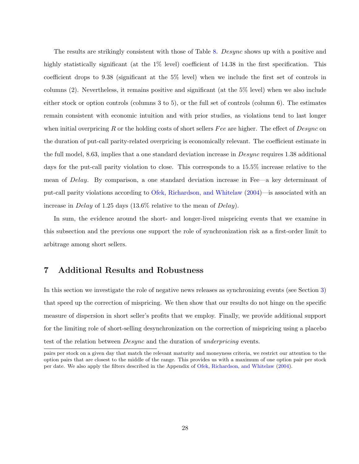The results are strikingly consistent with those of Table [8.](#page-48-0) Desync shows up with a positive and highly statistically significant (at the  $1\%$  level) coefficient of 14.38 in the first specification. This coefficient drops to 9.38 (significant at the 5% level) when we include the first set of controls in columns (2). Nevertheless, it remains positive and significant (at the 5% level) when we also include either stock or option controls (columns 3 to 5), or the full set of controls (column 6). The estimates remain consistent with economic intuition and with prior studies, as violations tend to last longer when initial overpricing R or the holding costs of short sellers Fee are higher. The effect of  $Desync$  on the duration of put-call parity-related overpricing is economically relevant. The coefficient estimate in the full model, 8.63, implies that a one standard deviation increase in  $Desync$  requires 1.38 additional days for the put-call parity violation to close. This corresponds to a 15.5% increase relative to the mean of Delay. By comparison, a one standard deviation increase in Fee—a key determinant of put-call parity violations according to [Ofek, Richardson, and Whitelaw](#page-36-2) [\(2004\)](#page-36-2)—is associated with an increase in Delay of 1.25 days (13.6% relative to the mean of Delay).

In sum, the evidence around the short- and longer-lived mispricing events that we examine in this subsection and the previous one support the role of synchronization risk as a first-order limit to arbitrage among short sellers.

# <span id="page-28-0"></span>7 Additional Results and Robustness

In this section we investigate the role of negative news releases as synchronizing events (see Section [3\)](#page-43-0) that speed up the correction of mispricing. We then show that our results do not hinge on the specific measure of dispersion in short seller's profits that we employ. Finally, we provide additional support for the limiting role of short-selling desynchronization on the correction of mispricing using a placebo test of the relation between *Desync* and the duration of *underpricing* events.

pairs per stock on a given day that match the relevant maturity and moneyness criteria, we restrict our attention to the option pairs that are closest to the middle of the range. This provides us with a maximum of one option pair per stock per date. We also apply the filters described in the Appendix of [Ofek, Richardson, and Whitelaw](#page-36-2) [\(2004\)](#page-36-2).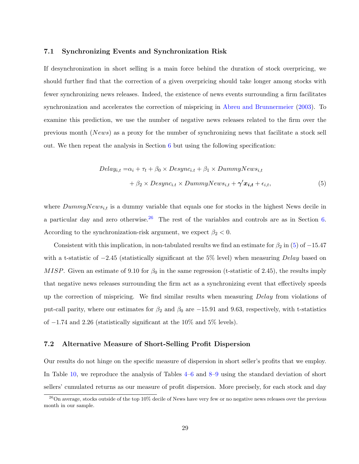### 7.1 Synchronizing Events and Synchronization Risk

If desynchronization in short selling is a main force behind the duration of stock overpricing, we should further find that the correction of a given overpricing should take longer among stocks with fewer synchronizing news releases. Indeed, the existence of news events surrounding a firm facilitates synchronization and accelerates the correction of mispricing in [Abreu and Brunnermeier](#page-32-1) [\(2003\)](#page-32-1). To examine this prediction, we use the number of negative news releases related to the firm over the previous month (News) as a proxy for the number of synchronizing news that facilitate a stock sell out. We then repeat the analysis in Section  $6$  but using the following specification:

<span id="page-29-0"></span>
$$
Delay_{i,t} = \alpha_i + \tau_t + \beta_0 \times Desync_{i,t} + \beta_1 \times DummyNews_{i,t} + \beta_2 \times Desync_{i,t} \times DummyNews_{i,t} + \gamma' x_{i,t} + \epsilon_{i,t},
$$
\n(5)

where  $DummyNews_{i,t}$  is a dummy variable that equals one for stocks in the highest News decile in a particular day and zero otherwise.<sup>[26](#page-0-0)</sup> The rest of the variables and controls are as in Section [6.](#page-25-0) According to the synchronization-risk argument, we expect  $\beta_2 < 0$ .

Consistent with this implication, in non-tabulated results we find an estimate for  $\beta_2$  in [\(5\)](#page-29-0) of -15.47 with a t-statistic of  $-2.45$  (statistically significant at the 5% level) when measuring Delay based on MISP. Given an estimate of 9.10 for  $\beta_0$  in the same regression (t-statistic of 2.45), the results imply that negative news releases surrounding the firm act as a synchronizing event that effectively speeds up the correction of mispricing. We find similar results when measuring Delay from violations of put-call parity, where our estimates for  $\beta_2$  and  $\beta_0$  are  $-15.91$  and 9.63, respectively, with t-statistics of −1.74 and 2.26 (statistically significant at the 10% and 5% levels).

### 7.2 Alternative Measure of Short-Selling Profit Dispersion

Our results do not hinge on the specific measure of dispersion in short seller's profits that we employ. In Table [10,](#page-50-0) we reproduce the analysis of Tables [4–](#page-44-0)[6](#page-46-0) and [8–](#page-48-0)[9](#page-49-0) using the standard deviation of short sellers' cumulated returns as our measure of profit dispersion. More precisely, for each stock and day

 $^{26}$ On average, stocks outside of the top 10% decile of News have very few or no negative news releases over the previous month in our sample.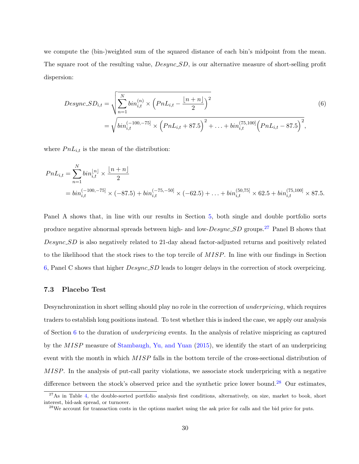we compute the (bin-)weighted sum of the squared distance of each bin's midpoint from the mean. The square root of the resulting value,  $Desync\_SD$ , is our alternative measure of short-selling profit dispersion:

<span id="page-30-0"></span>
$$
Desync.SD_{i,t} = \sqrt{\sum_{n=1}^{N} bin_{i,t}^{(n)} \times \left( PnL_{i,t} - \frac{\lfloor n+n \rfloor}{2} \right)^2}
$$
\n
$$
= \sqrt{bin_{i,t}^{(-100,-75]} \times \left( PnL_{i,t} + 87.5 \right)^2 + \ldots + bin_{i,t}^{(75,100]} \left( PnL_{i,t} - 87.5 \right)^2},
$$
\n(6)

where  $PnL_{i,t}$  is the mean of the distribution:

$$
PnL_{i,t} = \sum_{n=1}^{N} bin_{i,t}^{\lfloor n \rfloor} \times \frac{\lfloor n+n \rfloor}{2}
$$
  
=  $bin_{i,t}^{(-100,-75)} \times (-87.5) + bin_{i,t}^{(-75,-50)} \times (-62.5) + ... + bin_{i,t}^{(50,75)} \times 62.5 + bin_{i,t}^{(75,100)} \times 87.5.$ 

Panel A shows that, in line with our results in Section [5,](#page-16-0) both single and double portfolio sorts produce negative abnormal spreads between high- and low- $Desync\_SD$  groups.<sup>[27](#page-0-0)</sup> Panel B shows that Desync SD is also negatively related to 21-day ahead factor-adjusted returns and positively related to the likelihood that the stock rises to the top tercile of MISP. In line with our findings in Section [6,](#page-25-0) Panel C shows that higher Desync SD leads to longer delays in the correction of stock overpricing.

### 7.3 Placebo Test

Desynchronization in short selling should play no role in the correction of underpricing, which requires traders to establish long positions instead. To test whether this is indeed the case, we apply our analysis of Section [6](#page-25-0) to the duration of underpricing events. In the analysis of relative mispricing as captured by the MISP measure of [Stambaugh, Yu, and Yuan](#page-37-0) [\(2015\)](#page-37-0), we identify the start of an underpricing event with the month in which MISP falls in the bottom tercile of the cross-sectional distribution of MISP. In the analysis of put-call parity violations, we associate stock underpricing with a negative difference between the stock's observed price and the synthetic price lower bound.<sup>[28](#page-0-0)</sup> Our estimates,

 $27$ As in Table [4,](#page-44-0) the double-sorted portfolio analysis first conditions, alternatively, on size, market to book, short interest, bid-ask spread, or turnover.

<sup>&</sup>lt;sup>28</sup>We account for transaction costs in the options market using the ask price for calls and the bid price for puts.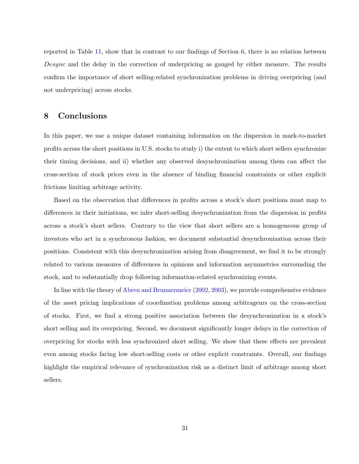reported in Table [11,](#page-51-0) show that in contrast to our findings of Section [6,](#page-25-0) there is no relation between Desync and the delay in the correction of underpricing as gauged by either measure. The results confirm the importance of short selling-related synchronization problems in driving overpricing (and not underpricing) across stocks.

# <span id="page-31-0"></span>8 Conclusions

In this paper, we use a unique dataset containing information on the dispersion in mark-to-market profits across the short positions in U.S. stocks to study i) the extent to which short sellers synchronize their timing decisions, and ii) whether any observed desynchronization among them can affect the cross-section of stock prices even in the absence of binding financial constraints or other explicit frictions limiting arbitrage activity.

Based on the observation that differences in profits across a stock's short positions must map to differences in their initiations, we infer short-selling desynchronization from the dispersion in profits across a stock's short sellers. Contrary to the view that short sellers are a homogeneous group of investors who act in a synchronous fashion, we document substantial desynchronization across their positions. Consistent with this desynchronization arising from disagreement, we find it to be strongly related to various measures of differences in opinions and information asymmetries surrounding the stock, and to substantially drop following information-related synchronizing events.

In line with the theory of [Abreu and Brunnermeier](#page-32-0) [\(2002,](#page-32-0) [2003\)](#page-32-1), we provide comprehensive evidence of the asset pricing implications of coordination problems among arbitrageurs on the cross-section of stocks. First, we find a strong positive association between the desynchronization in a stock's short selling and its overpricing. Second, we document significantly longer delays in the correction of overpricing for stocks with less synchronized short selling. We show that these effects are prevalent even among stocks facing low short-selling costs or other explicit constraints. Overall, our findings highlight the empirical relevance of synchronization risk as a distinct limit of arbitrage among short sellers.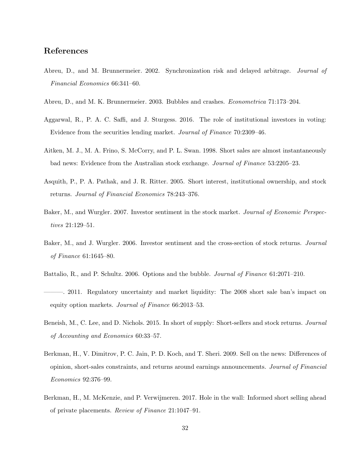# References

- <span id="page-32-0"></span>Abreu, D., and M. Brunnermeier. 2002. Synchronization risk and delayed arbitrage. Journal of Financial Economics 66:341–60.
- <span id="page-32-1"></span>Abreu, D., and M. K. Brunnermeier. 2003. Bubbles and crashes. Econometrica 71:173–204.
- <span id="page-32-5"></span>Aggarwal, R., P. A. C. Saffi, and J. Sturgess. 2016. The role of institutional investors in voting: Evidence from the securities lending market. Journal of Finance 70:2309–46.
- <span id="page-32-2"></span>Aitken, M. J., M. A. Frino, S. McCorry, and P. L. Swan. 1998. Short sales are almost instantaneously bad news: Evidence from the Australian stock exchange. Journal of Finance 53:2205–23.
- <span id="page-32-3"></span>Asquith, P., P. A. Pathak, and J. R. Ritter. 2005. Short interest, institutional ownership, and stock returns. Journal of Financial Economics 78:243–376.
- <span id="page-32-10"></span>Baker, M., and Wurgler. 2007. Investor sentiment in the stock market. Journal of Economic Perspectives 21:129–51.
- <span id="page-32-8"></span>Baker, M., and J. Wurgler. 2006. Investor sentiment and the cross-section of stock returns. Journal of Finance 61:1645–80.
- <span id="page-32-11"></span>Battalio, R., and P. Schultz. 2006. Options and the bubble. Journal of Finance 61:2071–210.
- <span id="page-32-6"></span>———. 2011. Regulatory uncertainty and market liquidity: The 2008 short sale ban's impact on equity option markets. Journal of Finance 66:2013–53.
- <span id="page-32-4"></span>Beneish, M., C. Lee, and D. Nichols. 2015. In short of supply: Short-sellers and stock returns. Journal of Accounting and Economics 60:33–57.
- <span id="page-32-9"></span>Berkman, H., V. Dimitrov, P. C. Jain, P. D. Koch, and T. Sheri. 2009. Sell on the news: Differences of opinion, short-sales constraints, and returns around earnings announcements. Journal of Financial Economics 92:376–99.
- <span id="page-32-7"></span>Berkman, H., M. McKenzie, and P. Verwijmeren. 2017. Hole in the wall: Informed short selling ahead of private placements. Review of Finance 21:1047–91.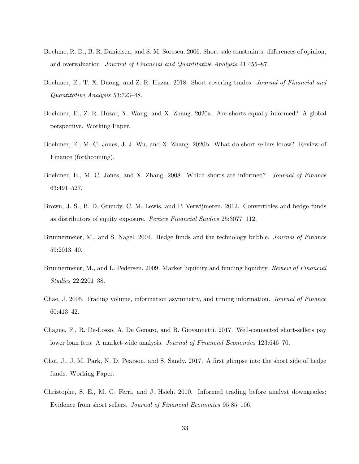- <span id="page-33-0"></span>Boehme, R. D., B. R. Danielsen, and S. M. Sorescu. 2006. Short-sale constraints, differences of opinion, and overvaluation. Journal of Financial and Quantitative Analysis 41:455–87.
- <span id="page-33-6"></span>Boehmer, E., T. X. Duong, and Z. R. Huzar. 2018. Short covering trades. *Journal of Financial and* Quantitative Analysis 53:723–48.
- <span id="page-33-5"></span>Boehmer, E., Z. R. Huzar, Y. Wang, and X. Zhang. 2020a. Are shorts equally informed? A global perspective. Working Paper.
- <span id="page-33-11"></span>Boehmer, E., M. C. Jones, J. J. Wu, and X. Zhang. 2020b. What do short sellers know? Review of Finance (forthcoming).
- <span id="page-33-4"></span>Boehmer, E., M. C. Jones, and X. Zhang. 2008. Which shorts are informed? Journal of Finance 63:491–527.
- <span id="page-33-8"></span>Brown, J. S., B. D. Grundy, C. M. Lewis, and P. Verwijmeren. 2012. Convertibles and hedge funds as distributors of equity exposure. Review Financial Studies 25:3077–112.
- <span id="page-33-3"></span>Brunnermeier, M., and S. Nagel. 2004. Hedge funds and the technology bubble. *Journal of Finance* 59:2013–40.
- <span id="page-33-1"></span>Brunnermeier, M., and L. Pedersen. 2009. Market liquidity and funding liquidity. Review of Financial Studies 22:2201–38.
- <span id="page-33-9"></span>Chae, J. 2005. Trading volume, information asymmetry, and timing information. Journal of Finance 60:413–42.
- <span id="page-33-2"></span>Chague, F., R. De-Losso, A. De Genaro, and B. Giovannetti. 2017. Well-connected short-sellers pay lower loan fees: A market-wide analysis. Journal of Financial Economics 123:646–70.
- <span id="page-33-7"></span>Choi, J., J. M. Park, N. D. Pearson, and S. Sandy. 2017. A first glimpse into the short side of hedge funds. Working Paper.
- <span id="page-33-10"></span>Christophe, S. E., M. G. Ferri, and J. Hsieh. 2010. Informed trading before analyst downgrades: Evidence from short sellers. Journal of Financial Economics 95:85–106.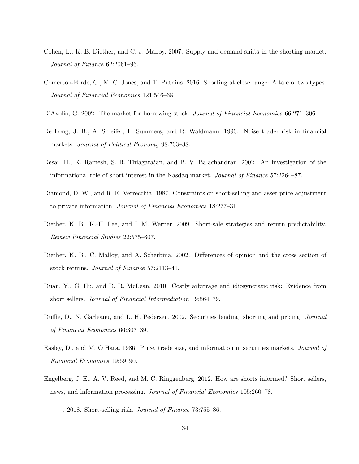- <span id="page-34-9"></span>Cohen, L., K. B. Diether, and C. J. Malloy. 2007. Supply and demand shifts in the shorting market. Journal of Finance 62:2061–96.
- <span id="page-34-6"></span>Comerton-Forde, C., M. C. Jones, and T. Putnins. 2016. Shorting at close range: A tale of two types. Journal of Financial Economics 121:546–68.
- <span id="page-34-1"></span>D'Avolio, G. 2002. The market for borrowing stock. Journal of Financial Economics 66:271–306.
- <span id="page-34-0"></span>De Long, J. B., A. Shleifer, L. Summers, and R. Waldmann. 1990. Noise trader risk in financial markets. Journal of Political Economy 98:703–38.
- <span id="page-34-8"></span>Desai, H., K. Ramesh, S. R. Thiagarajan, and B. V. Balachandran. 2002. An investigation of the informational role of short interest in the Nasdaq market. Journal of Finance 57:2264–87.
- <span id="page-34-3"></span>Diamond, D. W., and R. E. Verrecchia. 1987. Constraints on short-selling and asset price adjustment to private information. Journal of Financial Economics 18:277–311.
- <span id="page-34-7"></span>Diether, K. B., K.-H. Lee, and I. M. Werner. 2009. Short-sale strategies and return predictability. Review Financial Studies 22:575–607.
- <span id="page-34-10"></span>Diether, K. B., C. Malloy, and A. Scherbina. 2002. Differences of opinion and the cross section of stock returns. Journal of Finance 57:2113–41.
- <span id="page-34-5"></span>Duan, Y., G. Hu, and D. R. McLean. 2010. Costly arbitrage and idiosyncratic risk: Evidence from short sellers. Journal of Financial Intermediation 19:564–79.
- <span id="page-34-4"></span>Duffie, D., N. Garleanu, and L. H. Pedersen. 2002. Securities lending, shorting and pricing. Journal of Financial Economics 66:307–39.
- <span id="page-34-11"></span>Easley, D., and M. O'Hara. 1986. Price, trade size, and information in securities markets. Journal of Financial Economics 19:69–90.
- <span id="page-34-12"></span>Engelberg, J. E., A. V. Reed, and M. C. Ringgenberg. 2012. How are shorts informed? Short sellers, news, and information processing. Journal of Financial Economics 105:260–78.

<span id="page-34-2"></span> $-$ . 2018. Short-selling risk. *Journal of Finance* 73:755–86.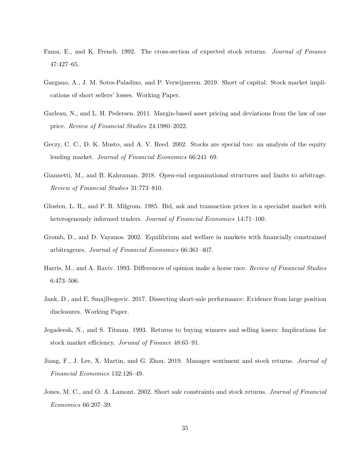- <span id="page-35-8"></span>Fama, E., and K. French. 1992. The cross-section of expected stock returns. Journal of Finance 47:427–65.
- <span id="page-35-4"></span>Gargano, A., J. M. Sotes-Paladino, and P. Verwijmeren. 2019. Short of capital: Stock market implications of short sellers' losses. Working Paper.
- <span id="page-35-1"></span>Garleau, N., and L. H. Pedersen. 2011. Margin-based asset pricing and deviations from the law of one price. Review of Financial Studies 24:1980–2022.
- <span id="page-35-10"></span>Geczy, C. C., D. K. Musto, and A. V. Reed. 2002. Stocks are special too: an analysis of the equity lending market. Journal of Financial Economics 66:241–69.
- <span id="page-35-3"></span>Giannetti, M., and B. Kahraman. 2018. Open-end organizational structures and limits to arbitrage. Review of Financial Studies 31:773–810.
- <span id="page-35-7"></span>Glosten, L. R., and P. R. Milgrom. 1985. Bid, ask and transaction prices in a specialist market with heterogenously informed traders. Journal of Financial Economics 14:71–100.
- <span id="page-35-0"></span>Gromb, D., and D. Vayanos. 2002. Equilibrium and welfare in markets with financially constrained arbitrageurs. Journal of Financial Economics 66:361–407.
- <span id="page-35-6"></span>Harris, M., and A. Raviv. 1993. Differences of opinion make a horse race. Review of Financial Studies 6:473–506.
- <span id="page-35-5"></span>Jank, D., and E. Smajlbegovic. 2017. Dissecting short-sale performance: Evidence from large position disclosures. Working Paper.
- <span id="page-35-9"></span>Jegadeesh, N., and S. Titman. 1993. Returns to buying winners and selling losers: Implications for stock market efficiency. Jorunal of Finance 48:65–91.
- <span id="page-35-11"></span>Jiang, F., J. Lee, X. Martin, and G. Zhou. 2019. Manager sentiment and stock returns. Journal of Financial Economics 132:126–49.
- <span id="page-35-2"></span>Jones, M. C., and O. A. Lamont. 2002. Short sale constraints and stock returns. Journal of Financial Economics 66:207–39.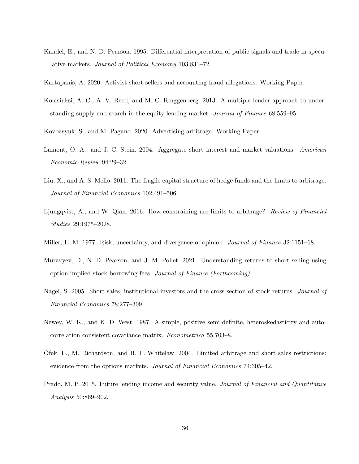- <span id="page-36-10"></span>Kandel, E., and N. D. Pearson. 1995. Differential interpretation of public signals and trade in speculative markets. Journal of Political Economy 103:831–72.
- <span id="page-36-11"></span>Kartapanis, A. 2020. Activist short-sellers and accounting fraud allegations. Working Paper.
- <span id="page-36-4"></span>Kolasinksi, A. C., A. V. Reed, and M. C. Ringgenberg. 2013. A multiple lender approach to understanding supply and search in the equity lending market. Journal of Finance 68:559–95.
- <span id="page-36-7"></span>Kovbasyuk, S., and M. Pagano. 2020. Advertising arbitrage. Working Paper.
- <span id="page-36-0"></span>Lamont, O. A., and J. C. Stein. 2004. Aggregate short interest and market valuations. American Economic Review 94:29–32.
- <span id="page-36-5"></span>Liu, X., and A. S. Mello. 2011. The fragile capital structure of hedge funds and the limits to arbitrage. Journal of Financial Economics 102:491–506.
- <span id="page-36-6"></span>Ljungqvist, A., and W. Qian. 2016. How constraining are limits to arbitrage? Review of Financial Studies 29:1975–2028.
- <span id="page-36-1"></span>Miller, E. M. 1977. Risk, uncertainty, and divergence of opinion. Journal of Finance 32:1151–68.
- <span id="page-36-8"></span>Muravyev, D., N. D. Pearson, and J. M. Pollet. 2021. Understanding returns to short selling using option-implied stock borrowing fees. Journal of Finance (Forthcoming) .
- <span id="page-36-3"></span>Nagel, S. 2005. Short sales, institutional investors and the cross-section of stock returns. Journal of Financial Economics 78:277–309.
- <span id="page-36-12"></span>Newey, W. K., and K. D. West. 1987. A simple, positive semi-definite, heteroskedasticity and autocorrelation consistent covariance matrix. Econometrica 55:703–8.
- <span id="page-36-2"></span>Ofek, E., M. Richardson, and R. F. Whitelaw. 2004. Limited arbitrage and short sales restrictions: evidence from the options markets. Journal of Financial Economics 74:305-42.
- <span id="page-36-9"></span>Prado, M. P. 2015. Future lending income and security value. Journal of Financial and Quantitative Analysis 50:869–902.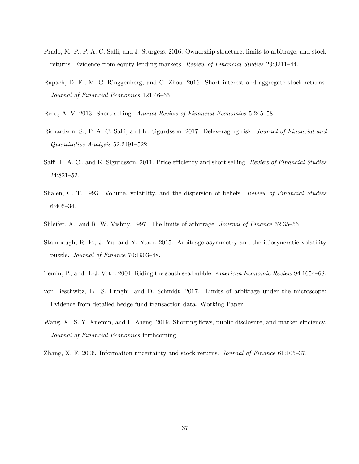- <span id="page-37-3"></span>Prado, M. P., P. A. C. Saffi, and J. Sturgess. 2016. Ownership structure, limits to arbitrage, and stock returns: Evidence from equity lending markets. Review of Financial Studies 29:3211–44.
- <span id="page-37-5"></span>Rapach, D. E., M. C. Ringgenberg, and G. Zhou. 2016. Short interest and aggregate stock returns. Journal of Financial Economics 121:46–65.
- <span id="page-37-11"></span>Reed, A. V. 2013. Short selling. Annual Review of Financial Economics 5:245–58.
- <span id="page-37-8"></span>Richardson, S., P. A. C. Saffi, and K. Sigurdsson. 2017. Deleveraging risk. Journal of Financial and Quantitative Analysis 52:2491–522.
- <span id="page-37-2"></span>Saffi, P. A. C., and K. Sigurdsson. 2011. Price efficiency and short selling. Review of Financial Studies 24:821–52.
- <span id="page-37-9"></span>Shalen, C. T. 1993. Volume, volatility, and the dispersion of beliefs. Review of Financial Studies 6:405–34.
- <span id="page-37-1"></span>Shleifer, A., and R. W. Vishny. 1997. The limits of arbitrage. Journal of Finance 52:35–56.
- <span id="page-37-0"></span>Stambaugh, R. F., J. Yu, and Y. Yuan. 2015. Arbitrage asymmetry and the idiosyncratic volatility puzzle. Journal of Finance 70:1903–48.
- <span id="page-37-4"></span>Temin, P., and H.-J. Voth. 2004. Riding the south sea bubble. American Economic Review 94:1654–68.
- <span id="page-37-7"></span>von Beschwitz, B., S. Lunghi, and D. Schmidt. 2017. Limits of arbitrage under the microscope: Evidence from detailed hedge fund transaction data. Working Paper.
- <span id="page-37-6"></span>Wang, X., S. Y. Xuemin, and L. Zheng. 2019. Shorting flows, public disclosure, and market efficiency. Journal of Financial Economics forthcoming.
- <span id="page-37-10"></span>Zhang, X. F. 2006. Information uncertainty and stock returns. Journal of Finance 61:105–37.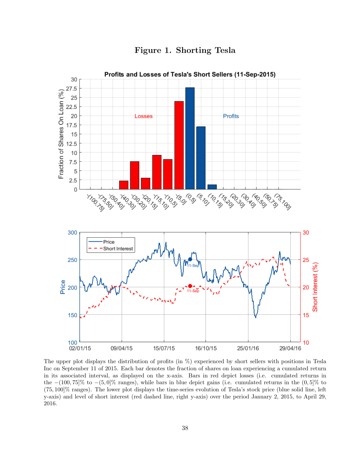<span id="page-38-0"></span>

Figure 1. Shorting Tesla

The upper plot displays the distribution of profits (in %) experienced by short sellers with positions in Tesla Inc on September 11 of 2015. Each bar denotes the fraction of shares on loan experiencing a cumulated return in its associated interval, as displayed on the x-axis. Bars in red depict losses (i.e. cumulated returns in the  $-(100, 75)\%$  to  $-(5, 0)\%$  ranges), while bars in blue depict gains (i.e. cumulated returns in the  $(0, 5)\%$  to (75, 100]% ranges). The lower plot displays the time-series evolution of Tesla's stock price (blue solid line, left y-axis) and level of short interest (red dashed line, right y-axis) over the period January 2, 2015, to April 29, 2016.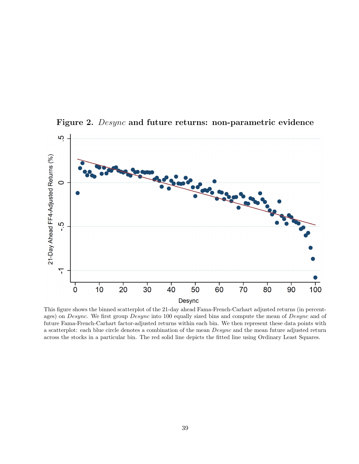

<span id="page-39-0"></span>Figure 2. Desync and future returns: non-parametric evidence

This figure shows the binned scatterplot of the 21-day ahead Fama-French-Carhart adjusted returns (in percentages) on Desync. We first group Desync into 100 equally sized bins and compute the mean of Desync and of future Fama-French-Carhart factor-adjusted returns within each bin. We then represent these data points with a scatterplot: each blue circle denotes a combination of the mean Desync and the mean future adjusted return across the stocks in a particular bin. The red solid line depicts the fitted line using Ordinary Least Squares.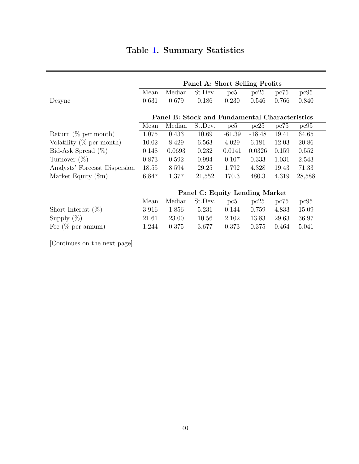<span id="page-40-0"></span>

|                               |       |                                                | Panel A: Short Selling Profits |          |          |       |        |
|-------------------------------|-------|------------------------------------------------|--------------------------------|----------|----------|-------|--------|
|                               | Mean  | Median                                         | St.Dev.                        | pc5      | pc25     | pc75  | pc95   |
| Desync                        | 0.631 | 0.679                                          | 0.186                          | 0.230    | 0.546    | 0.766 | 0.840  |
|                               |       |                                                |                                |          |          |       |        |
|                               |       | Panel B: Stock and Fundamental Characteristics |                                |          |          |       |        |
|                               | Mean  | Median                                         | St.Dev.                        | pc5      | pc25     | pc75  | pc95   |
| Return $(\%$ per month)       | 1.075 | 0.433                                          | 10.69                          | $-61.39$ | $-18.48$ | 19.41 | 64.65  |
| Volatility $(\%$ per month)   | 10.02 | 8.429                                          | 6.563                          | 4.029    | 6.181    | 12.03 | 20.86  |
| Bid-Ask Spread $(\%)$         | 0.148 | 0.0693                                         | 0.232                          | 0.0141   | 0.0326   | 0.159 | 0.552  |
| Turnover $(\%)$               | 0.873 | 0.592                                          | 0.994                          | 0.107    | 0.333    | 1.031 | 2.543  |
| Analysts' Forecast Dispersion | 18.55 | 8.594                                          | 29.25                          | 1.792    | 4.328    | 19.43 | 71.33  |
| Market Equity $(\text{\$m})$  | 6,847 | 1,377                                          | 21,552                         | 170.3    | 480.3    | 4,319 | 28,588 |
|                               |       |                                                |                                |          |          |       |        |

|                       | Panel C: Equity Lending Market |       |                |       |       |       |       |  |  |
|-----------------------|--------------------------------|-------|----------------|-------|-------|-------|-------|--|--|
|                       | Mean                           |       | Median St.Dev. | pc5   | pc25  | pc75  | pc95  |  |  |
| Short Interest $(\%)$ | 3.916                          | 1.856 | 5.231          | 0.144 | 0.759 | 4.833 | 15.09 |  |  |
| Supply $(\%)$         | 21.61                          | 23.00 | 10.56          | 2.102 | 13.83 | 29.63 | 36.97 |  |  |
| Fee $(\%$ per annum)  | 1.244                          | 0.375 | 3.677          | 0.373 | 0.375 | 0.464 | 5.041 |  |  |

[Continues on the next page]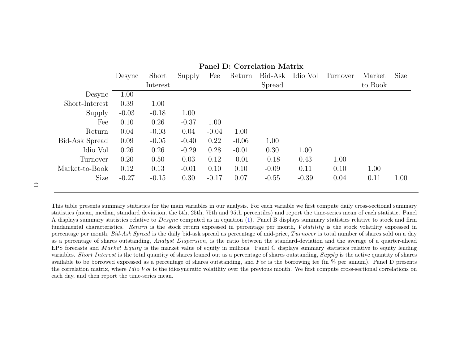|                |         |          |         |         |         | Corrent what is |          |          |         |      |
|----------------|---------|----------|---------|---------|---------|-----------------|----------|----------|---------|------|
|                | Desync  | Short    | Supply  | Fee     | Return  | Bid-Ask         | Idio Vol | Turnover | Market  | Size |
|                |         | Interest |         |         |         | Spread          |          |          | to Book |      |
| Desync         | 1.00    |          |         |         |         |                 |          |          |         |      |
| Short-Interest | 0.39    | 1.00     |         |         |         |                 |          |          |         |      |
| Supply         | $-0.03$ | $-0.18$  | 1.00    |         |         |                 |          |          |         |      |
| Fee            | 0.10    | 0.26     | $-0.37$ | 1.00    |         |                 |          |          |         |      |
| Return         | 0.04    | $-0.03$  | 0.04    | $-0.04$ | 1.00    |                 |          |          |         |      |
| Bid-Ask Spread | 0.09    | $-0.05$  | $-0.40$ | 0.22    | $-0.06$ | 1.00            |          |          |         |      |
| Idio Vol       | 0.26    | 0.26     | $-0.29$ | 0.28    | $-0.01$ | 0.30            | 1.00     |          |         |      |
| Turnover       | 0.20    | 0.50     | 0.03    | 0.12    | $-0.01$ | $-0.18$         | 0.43     | 1.00     |         |      |
| Market-to-Book | 0.12    | 0.13     | $-0.01$ | 0.10    | 0.10    | $-0.09$         | 0.11     | 0.10     | 1.00    |      |
| <b>Size</b>    | $-0.27$ | $-0.15$  | 0.30    | $-0.17$ | 0.07    | $-0.55$         | $-0.39$  | 0.04     | 0.11    | 1.00 |
|                |         |          |         |         |         |                 |          |          |         |      |

Panel D: Correlation Matrix

This table presents summary statistics for the main variables in our analysis. For each variable we first compute daily cross-sectional summary statistics (mean, median, standard deviation, the 5th, 25th, 75th and 95th percentiles) and report the time-series mean of each statistic. PanelA displays summary statistics relative to  $Desync$  computed as in equation [\(1\)](#page-10-1). Panel B displays summary statistics relative to stock and firm fundamental characteristics. Return is the stock return expressed in percentage per month, Volatility is the stock volatility expressed in percentage per month, *Bid-Ask Spread* is the daily bid-ask spread as percentage of mid-price,  $Turnover$  is total number of shares sold on a day as a percentage of shares outstanding, *Analyst Dispersion*, is the ratio between the standard-deviation and the average of a quarter-ahead EPS forecasts and *Market Equity* is the market value of equity in millions. Panel C displays summary statistics relative to equity lending variables. *Short Interest* is the total quantity of shares loaned out as a percentage of shares outstanding,  $Supply$  is the active quantity of shares available to be borrowed expressed as a percentage of shares outstanding, and  $Fee$  is the borrowing fee (in  $%$  per annum). Panel D presents the correlation matrix, where *Idio V ol* is the idiosyncratic volatility over the previous month. We first compute cross-sectional correlations on each day, and then report the time-series mean.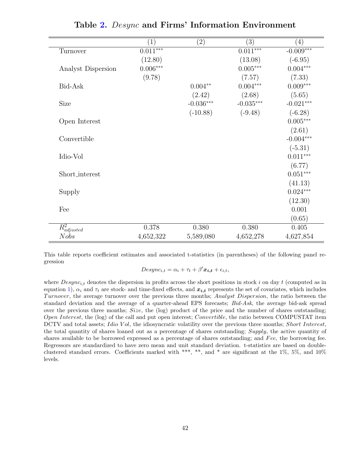<span id="page-42-0"></span>

|                             | $\left( 1\right)$ | $\left( 2\right)$ | (3)             | (4)         |
|-----------------------------|-------------------|-------------------|-----------------|-------------|
| Turnover                    | $0.011***$        |                   | $0.011***$      | $-0.009***$ |
|                             | (12.80)           |                   | (13.08)         | $(-6.95)$   |
| Analyst Dispersion          | $0.006***$        |                   | $0.005^{***}\,$ | $0.004***$  |
|                             | (9.78)            |                   | (7.57)          | (7.33)      |
| Bid-Ask                     |                   | $0.004**$         | $0.004***$      | $0.009***$  |
|                             |                   | (2.42)            | (2.68)          | (5.65)      |
| Size                        |                   | $-0.036***$       | $-0.035***$     | $-0.021***$ |
|                             |                   | $(-10.88)$        | $(-9.48)$       | $(-6.28)$   |
| Open Interest               |                   |                   |                 | $0.005***$  |
|                             |                   |                   |                 | (2.61)      |
| Convertible                 |                   |                   |                 | $-0.004***$ |
|                             |                   |                   |                 | $(-5.31)$   |
| Idio-Vol                    |                   |                   |                 | $0.011***$  |
|                             |                   |                   |                 | (6.77)      |
| Short_interest              |                   |                   |                 | $0.051***$  |
|                             |                   |                   |                 | (41.13)     |
| Supply                      |                   |                   |                 | $0.024***$  |
|                             |                   |                   |                 | (12.30)     |
| Fee                         |                   |                   |                 | 0.001       |
|                             |                   |                   |                 | (0.65)      |
| $\overline{R^2_{adjusted}}$ | 0.378             | 0.380             | 0.380           | $0.405\,$   |
| <b>Nobs</b>                 | 4,652,322         | 5,589,080         | 4,652,278       | 4,627,854   |

Table [2.](#page-42-0) Desync and Firms' Information Environment

This table reports coefficient estimates and associated t-statistics (in parentheses) of the following panel regression

 $Desync_{i,t} = \alpha_i + \tau_t + \beta' \mathbf{x_{i,t}} + \epsilon_{i,t},$ 

where  $Desync_{i,t}$  denotes the dispersion in profits across the short positions in stock i on day t (computed as in equation [1\)](#page-10-0),  $\alpha_i$  and  $\tau_t$  are stock- and time-fixed effects, and  $x_{i,t}$  represents the set of covariates, which includes Turnover, the average turnover over the previous three months; Analyst Dispersion, the ratio between the standard deviation and the average of a quarter-ahead EPS forecasts; Bid-Ask, the average bid-ask spread over the previous three months; Size, the  $(log)$  product of the price and the number of shares outstanding; Open Interest, the (log) of the call and put open interest; Convertible, the ratio between COMPUSTAT item DCTV and total assets; *Idio Vol*, the idiosyncratic volatility over the previous three months; *Short Interest*, the total quantity of shares loaned out as a percentage of shares outstanding; Supply, the active quantity of shares available to be borrowed expressed as a percentage of shares outstanding; and Fee, the borrowing fee. Regressors are standardized to have zero mean and unit standard deviation. t-statistics are based on doubleclustered standard errors. Coefficients marked with \*\*\*, \*\*, and \* are significant at the 1%, 5%, and 10% levels.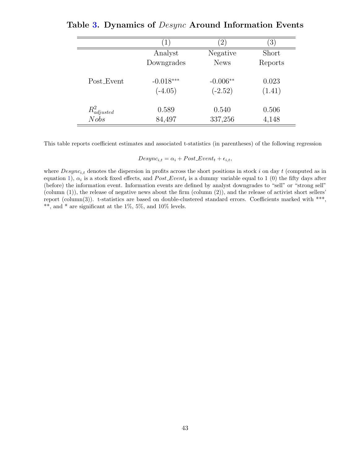|                  | $\perp$     | $\left( 2\right)$ | $\left[3\right]$ |
|------------------|-------------|-------------------|------------------|
|                  | Analyst     | Negative          | Short            |
|                  | Downgrades  | <b>News</b>       | Reports          |
| Post_Event       | $-0.018***$ | $-0.006**$        | 0.023            |
|                  | $(-4.05)$   | $(-2.52)$         | (1.41)           |
| $R^2_{adjusted}$ | 0.589       | 0.540             | 0.506            |
| Nobs             | 84,497      | 337,256           | 4,148            |

<span id="page-43-0"></span>Table [3.](#page-43-0) Dynamics of Desync Around Information Events

This table reports coefficient estimates and associated t-statistics (in parentheses) of the following regression

 $Desync_{i,t} = \alpha_i + Post\_Event_t + \epsilon_{i,t},$ 

where  $Desync_{i,t}$  denotes the dispersion in profits across the short positions in stock i on day t (computed as in equation [1\)](#page-10-0),  $\alpha_i$  is a stock fixed effects, and  $Post\_Event_t$  is a dummy variable equal to 1 (0) the fifty days after (before) the information event. Information events are defined by analyst downgrades to "sell" or "strong sell" (column  $(1)$ ), the release of negative news about the firm (column  $(2)$ ), and the release of activist short sellers' report (column(3)). t-statistics are based on double-clustered standard errors. Coefficients marked with \*\*\*, \*\*, and \* are significant at the  $1\%$ ,  $5\%$ , and  $10\%$  levels.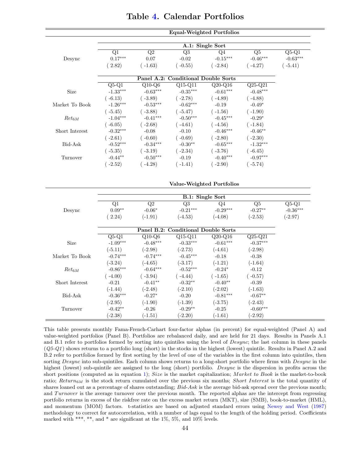<span id="page-44-0"></span>

|                |                                  |                                                  | <b>Equal-Weighted Portfolios</b>    |                                    |                          |            |  |  |  |
|----------------|----------------------------------|--------------------------------------------------|-------------------------------------|------------------------------------|--------------------------|------------|--|--|--|
|                |                                  |                                                  |                                     |                                    |                          |            |  |  |  |
|                |                                  |                                                  | A.1: Single Sort                    |                                    |                          |            |  |  |  |
|                | Q1                               | $\overline{Q2}$                                  | Q3                                  | Q4                                 | Q5                       | $Q5-Q1$    |  |  |  |
| Desync         | $0.17***$                        | 0.07                                             | $-0.02$                             | $-0.15***$                         | $-0.46***$               | $-0.63***$ |  |  |  |
|                | (2.82)                           | $(-1.63)$                                        | $(-0.55)$                           | $(-2.84)$                          | $(-4.27)$                | $(-5.41)$  |  |  |  |
|                |                                  |                                                  |                                     |                                    |                          |            |  |  |  |
|                |                                  |                                                  | Panel A.2: Conditional Double Sorts |                                    |                          |            |  |  |  |
|                | $\overline{Q5-Q1}$<br>$-1.33***$ | $\overline{Q10}$ - $\overline{Q6}$<br>$-0.63***$ | $\overline{Q15-Q11}$<br>$-0.35***$  | $\overline{Q20-Q16}$<br>$-0.61***$ | $Q25-Q21$<br>$-0.48***$  |            |  |  |  |
| Size           |                                  |                                                  |                                     |                                    |                          |            |  |  |  |
|                | $(-6.13)$                        | $(-3.89)$                                        | $(-2.78)$                           | $(-4.89)$                          | $(-4.88)$                |            |  |  |  |
| Market To Book | $-1.26***$                       | $-0.53***$                                       | $-0.62***$                          | $-0.19$                            | $-0.49*$                 |            |  |  |  |
|                | $(-5.45)$                        | $(-3.88)$                                        | $(-5.47)$                           | $(-1.56)$                          | $(-1.90)$                |            |  |  |  |
| $Ret_{6M}$     | $-1.04***$                       | $-0.41***$                                       | $-0.50***$                          | $-0.45***$                         | $-0.29*$                 |            |  |  |  |
|                | $(-6.05)$                        | $(-2.68)$                                        | $(-4.61)$                           | $(-4.56)$                          | $(-1.84)$                |            |  |  |  |
| Short Interest | $-0.32***$                       | $-0.08$                                          | $-0.10$                             | $-0.46***$                         | $-0.46**$                |            |  |  |  |
|                | $(-2.61)$<br>$-0.52***$          | $(-0.60)$<br>$-0.34***$                          | $(-0.69)$<br>$-0.30**$              | $(-2.80)$<br>$-0.65***$            | $(-2.30)$<br>$-1.32***$  |            |  |  |  |
| Bid-Ask        |                                  |                                                  |                                     |                                    |                          |            |  |  |  |
|                | $(-5.35)$                        | $(-3.19)$                                        | $(-2.34)$                           | $(-3.76)$                          | $(-6.45)$                |            |  |  |  |
| Turnover       | $-0.44**$                        | $-0.50***$                                       | $-0.19$                             | $-0.40***$                         | $-0.97***$               |            |  |  |  |
|                | $(-2.52)$                        | $(-4.28)$                                        | $(-1.41)$                           | $(-2.90)$                          | $(-5.74)$                |            |  |  |  |
|                |                                  |                                                  |                                     |                                    |                          |            |  |  |  |
|                |                                  |                                                  | Value-Weighted Portfolios           |                                    |                          |            |  |  |  |
|                |                                  |                                                  |                                     |                                    |                          |            |  |  |  |
|                |                                  |                                                  | <b>B.1: Single Sort</b>             |                                    |                          |            |  |  |  |
|                | $\overline{Q1}$                  | $\overline{Q2}$                                  | Q3                                  | Q4                                 | $\overline{\mathrm{Q5}}$ | Q5-Q1      |  |  |  |
| Desync         | $0.09**$                         | $-0.06*$                                         | $-0.21***$                          | $-0.29***$                         | $-0.27**$                | $-0.36***$ |  |  |  |
|                | (2.24)                           | $(-1.91)$                                        | $(-4.53)$                           | $(-4.08)$                          | $(-2.53)$                | $(-2.97)$  |  |  |  |
|                |                                  |                                                  |                                     |                                    |                          |            |  |  |  |
|                |                                  |                                                  | Panel B.2: Conditional Double Sorts |                                    |                          |            |  |  |  |
|                | $Q5-Q1$                          | $\rm Q10\text{-}Q6$                              | $\overline{Q15-Q11}$                | $Q20-Q16$                          | $Q25-Q21$                |            |  |  |  |
| Size           | $-1.09***$                       | $-0.48***$                                       | $-0.33***$                          | $-0.61***$                         | $-0.37***$               |            |  |  |  |
|                | $(-5.11)$                        | $(-2.98)$                                        | $(-2.73)$                           | $(-4.61)$                          | $(-2.98)$                |            |  |  |  |
| Market To Book | $-0.74***$                       | $-0.74***$                                       | $-0.45***$                          | $-0.18$                            | $-0.38$                  |            |  |  |  |
|                | $(-3.24)$                        | $(-4.65)$                                        | $(-3.17)$                           | $(-1.21)$                          | $(-1.64)$                |            |  |  |  |
| $Ret_{6M}$     | $-0.86***$                       | $-0.64***$                                       | $-0.52***$                          | $-0.24*$                           | $-0.12$                  |            |  |  |  |
|                | $(-4.00)$                        | $(-3.94)$                                        | $(-4.44)$                           | $(-1.65)$                          | $(-0.57)$                |            |  |  |  |
| Short Interest | $-0.21$                          | $-0.41**$                                        | $-0.32**$                           | $-0.40**$                          | $-0.39$                  |            |  |  |  |
|                | $(-1.44)$                        | $(-2.48)$                                        | $(-2.10)$                           | $(-2.02)$                          | $(-1.63)$                |            |  |  |  |
| Bid-Ask        | $-0.36***$                       | $-0.27*$                                         | $-0.20$                             | $-0.81***$                         | $-0.67**$                |            |  |  |  |
|                | $(-2.95)$                        | $(-1.90)$                                        | $(-1.39)$                           | $(-3.75)$                          | $(-2.43)$                |            |  |  |  |
| Turnover       | $-0.42**$                        | $-0.26$                                          | $-0.29**$                           | $-0.25$                            | $-0.60***$               |            |  |  |  |
|                | $(-2.38)$                        | $(-1.51)$                                        | $(-2.20)$                           | $(-1.61)$                          | $(-2.92)$                |            |  |  |  |

# Table [4.](#page-44-0) Calendar Portfolios

This table presents monthly Fama-French-Carhart four-factor alphas (in percent) for equal-weighted (Panel A) and value-weighted portfolios (Panel B). Portfolios are rebalanced daily, and are held for 21 days. Results in Panels A.1 and B.1 refer to portfolios formed by sorting into quintiles using the level of Desync; the last column in these panels  $(Q5-Q1)$  shows returns to a portfolio long (short) in the stocks in the highest (lowest) quintile. Results in Panel A.2 and B.2 refer to portfolios formed by first sorting by the level of one of the variables in the first column into quintiles, then sorting Desync into sub-quintiles. Each column shows returns to a long-short portfolio where firms with Desync in the highest (lowest) sub-quintile are assigned to the long (short) portfolio. Desync is the dispersion in profits across the short positions (computed as in equation [1\)](#page-10-0); Size is the market capitalization; Market to Book is the market-to-book ratio;  $Return_{6M}$  is the stock return cumulated over the previous six months; Short Interest is the total quantity of shares loaned out as a percentage of shares outstanding;  $Bid-Ask$  is the average bid-ask spread over the previous month; and Turnover is the average turnover over the previous month. The reported alphas are the intercept from regressing portfolio returns in excess of the riskfree rate on the excess market return (MKT), size (SMB), book-to-market (HML), and momentum (MOM) factors. t-statistics are based on adjusted standard errors using [Newey and West](#page-36-12) [\(1987\)](#page-36-12) methodology to correct for autocorrelation, with a number of lags equal to the length of the holding period. Coefficients marked with \*\*\*, \*\*, and \* are significant at the  $1\%$ ,  $5\%$ , and  $10\%$  levels.

 $=$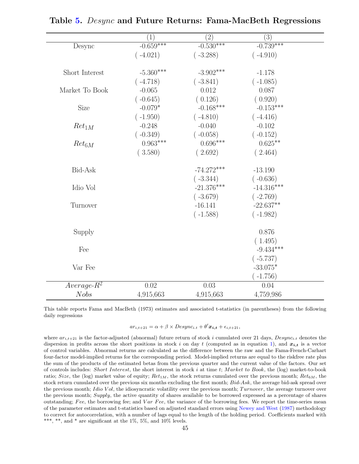<span id="page-45-0"></span>

|                | (1)         | $\left( 2\right)$ | (3)          |  |
|----------------|-------------|-------------------|--------------|--|
| Desync         | $-0.659***$ | $-0.530***$       | $-0.739***$  |  |
|                | $(-4.021)$  | $(-3.288)$        | $(-4.910)$   |  |
| Short Interest | $-5.360***$ | $-3.902***$       | $-1.178$     |  |
|                | $(-4.718)$  | $(-3.841)$        | $(-1.085)$   |  |
| Market To Book | $-0.065$    | 0.012             | 0.087        |  |
|                | $(-0.645)$  | (0.126)           | (0.920)      |  |
| Size           | $-0.079*$   | $-0.168***$       | $-0.153***$  |  |
|                | $(-1.950)$  | $(-4.810)$        | $(-4.416)$   |  |
| $Ret_{1M}$     | $-0.248$    | $-0.040$          | $-0.102$     |  |
|                | $(-0.349)$  | $(-0.058)$        | $(-0.152)$   |  |
| $Ret_{6M}$     | $0.963***$  | $0.696***$        | $0.625***$   |  |
|                | (3.580)     | (2.692)           | (2.464)      |  |
| Bid-Ask        |             | $-74.272***$      | $-13.190$    |  |
|                |             | $(-3.344)$        | $(-0.636)$   |  |
| Idio Vol       |             | $-21.376***$      | $-14.316***$ |  |
|                |             | $(-3.679)$        | $(-2.769)$   |  |
| Turnover       |             | $-16.141$         | $-22.637**$  |  |
|                |             | $(-1.588)$        | $(-1.982)$   |  |
| Supply         |             |                   | 0.876        |  |
|                |             |                   | (1.495)      |  |
| Fee            |             |                   | $-9.434***$  |  |
|                |             |                   | $(-5.737)$   |  |
| Var Fee        |             |                   | $-33.075*$   |  |
|                |             |                   | $-1.756)$    |  |
| $Average-R^2$  | 0.02        | 0.03              | 0.04         |  |
| <b>Nobs</b>    | 4,915,663   | 4,915,663         | 4,759,986    |  |

Table [5.](#page-45-0) Desync and Future Returns: Fama-MacBeth Regressions

This table reports Fama and MacBeth (1973) estimates and associated t-statistics (in parentheses) from the following daily regressions

 $ar_{i,t+21} = \alpha + \beta \times Desync_{i.t} + \theta' \mathbf{x_{i,t}} + \epsilon_{i,t+21},$ 

where  $ar_{i,t+21}$  is the factor-adjusted (abnormal) future return of stock i cumulated over 21 days,  $Desync_{i,t}$  denotes the dispersion in profits across the short positions in stock i on day t (computed as in equation [1\)](#page-10-0), and  $x_{i,t}$  is a vector of control variables. Abnormal returns are calculated as the difference between the raw and the Fama-French-Carhart four-factor model-implied returns for the corresponding period. Model-implied returns are equal to the riskfree rate plus the sum of the products of the estimated betas from the previous quarter and the current value of the factors. Our set of controls includes: Short Interest, the short interest in stock i at time t; Market to Book, the (log) market-to-book ratio; Size, the (log) market value of equity;  $Ret_{1M}$ , the stock returns cumulated over the previous month;  $Ret_{6M}$ , the stock return cumulated over the previous six months excluding the first month; Bid-Ask, the average bid-ask spread over the previous month; Idio Vol, the idiosyncratic volatility over the previous month; Turnover, the average turnover over the previous month; Supply, the active quantity of shares available to be borrowed expressed as a percentage of shares outstanding; Fee, the borrowing fee; and  $Var$  Fee, the variance of the borrowing fees. We report the time-series mean of the parameter estimates and t-statistics based on adjusted standard errors using [Newey and West](#page-36-12) [\(1987\)](#page-36-12) methodology to correct for autocorrelation, with a number of lags equal to the length of the holding period. Coefficients marked with \*\*\*, \*\*, and \* are significant at the  $1\%$ , 5%, and  $10\%$  levels.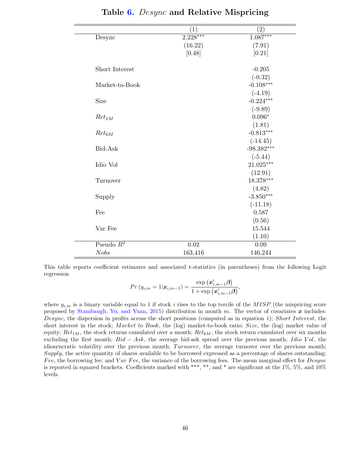<span id="page-46-0"></span>

|                | $\left( 1\right)$ | $\rm(2)$       |
|----------------|-------------------|----------------|
| Desync         | $2.228***$        | $1.087***$     |
|                | (16.22)           | (7.91)         |
|                | [0.48]            | [0.21]         |
| Short Interest |                   | $-0.205$       |
|                |                   | $(-0.32)$      |
| Market-to-Book |                   | $-0.108***$    |
|                |                   | $(-4.19)$      |
| Size           |                   | $-0.224***$    |
|                |                   | $(-9.89)$      |
| $Ret_{1M}$     |                   | $0.096^{\ast}$ |
|                |                   | (1.81)         |
| $Ret_{6M}$     |                   | $-0.813***$    |
|                |                   | $(-14.45)$     |
| Bid-Ask        |                   | $-98.382***$   |
|                |                   | $(-5.44)$      |
| Idio Vol       |                   | $21.025***$    |
|                |                   | (12.91)        |
| Turnover       |                   | $18.378***$    |
|                |                   | (4.82)         |
| Supply         |                   | $-3.850***$    |
|                |                   | $(-11.18)$     |
| Fee            |                   | 0.587          |
|                |                   | (0.56)         |
| Var Fee        |                   | 15.544         |
|                |                   | (1.10)         |
| Pseudo $R^2$   | 0.02              | 0.09           |
| <b>Nobs</b>    | 163,416           | 146,244        |

Table [6.](#page-46-0) Desync and Relative Mispricing

This table reports coefficient estimates and associated t-statistics (in parentheses) from the following Logit regression

$$
Pr(y_{i,m} = 1 | \bm{x}_{i,m-1}) = \frac{\exp(\bm{x}_{i,m-1}'\bm{\beta})}{1 + \exp(\bm{x}_{i,m-1}'\bm{\beta})},
$$

where  $y_{i,m}$  is a binary variable equal to 1 if stock i rises to the top tercile of the MISP (the mispricing score proposed by [Stambaugh, Yu, and Yuan,](#page-37-0) [2015\)](#page-37-0) distribution in month m. The vector of covariates  $x$  includes: Desync, the dispersion in profits across the short positions (computed as in equation [1\)](#page-10-0); Short Interest, the short interest in the stock; Market to Book, the (log) market-to-book ratio; Size, the (log) market value of equity;  $Ret_{1M}$ , the stock returns cumulated over a month;  $Ret_{6M}$ , the stock return cumulated over six months excluding the first month;  $Bid - Ask$ , the average bid-ask spread over the previous month; Idio Vol, the idiosyncratic volatility over the previous month; Turnover, the average turnover over the previous month; Supply, the active quantity of shares available to be borrowed expressed as a percentage of shares outstanding; Fee, the borrowing fee; and Var Fee, the variance of the borrowing fees. The mean marginal effect for  $Desync$ is reported in squared brackets. Coefficients marked with \*\*\*, \*\*, and \* are significant at the 1%, 5%, and 10% levels.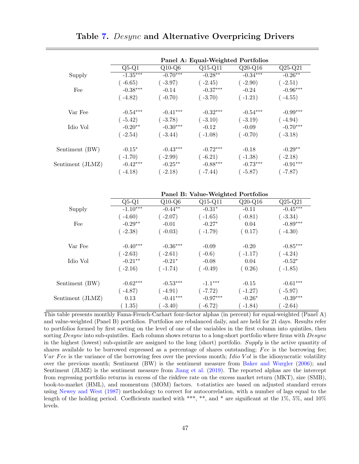<span id="page-47-0"></span>

|                  |            |            | Panel A: Equal-Weighted Portfolios |            |            |
|------------------|------------|------------|------------------------------------|------------|------------|
|                  | $Q5-Q1$    | $Q10-Q6$   | $\overline{Q15-Q11}$               | $Q20-Q16$  | $Q25-Q21$  |
| Supply           | $-1.35***$ | $-0.70***$ | $-0.28***$                         | $-0.34***$ | $-0.26***$ |
|                  | $-6.65)$   | $-3.97)$   | $(-2.45)$                          | $-2.90)$   | $-2.51)$   |
| Fee              | $-0.38***$ | $-0.14$    | $-0.37***$                         | $-0.24$    | $-0.96***$ |
|                  | $-4.82)$   | $-0.70)$   | $(-3.70)$                          | $(-1.21)$  | $-4.55)$   |
| Var Fee          | $-0.54***$ | $-0.41***$ | $-0.32***$                         | $-0.54***$ | $-0.99***$ |
|                  | $-5.42)$   | $(-3.78)$  | $(-3.10)$                          | $(-3.19)$  | $-4.94)$   |
| Idio Vol         | $-0.20**$  | $-0.30***$ | $-0.12$                            | $-0.09$    | $-0.70***$ |
|                  | $-2.54)$   | $-3.44)$   | $(-1.08)$                          | $(-0.70)$  | $-3.18)$   |
| Sentiment (BW)   | $-0.15*$   | $-0.43***$ | $-0.72***$                         | $-0.18$    | $-0.29**$  |
|                  | $(-1.70)$  | $-2.99$    | $(-6.21)$                          | $(-1.38)$  | $-2.18)$   |
| Sentiment (JLMZ) | $-0.42***$ | $-0.25***$ | $-0.88***$                         | $-0.73***$ | $-0.91***$ |
|                  | $-4.18)$   | $-2.18)$   | $-7.44)$                           | $-5.87)$   | $-7.87)$   |

Table [7.](#page-47-0) Desync and Alternative Overpricing Drivers

|                  |            |            | Panel B: Value-Weighted Portfolios |           |            |
|------------------|------------|------------|------------------------------------|-----------|------------|
|                  | $Q5-Q1$    | $Q10-Q6$   | $Q15-Q11$                          | $Q20-Q16$ | $Q25-Q21$  |
| Supply           | $-1.10***$ | $-0.44**$  | $-0.31*$                           | $-0.11$   | $-0.45***$ |
|                  | $(-4.60)$  | $(-2.07)$  | $(-1.65)$                          | $(-0.81)$ | $-3.34)$   |
| Fee              | $-0.29**$  | $-0.01$    | $-0.27*$                           | 0.04      | $-0.89***$ |
|                  | $(-2.38)$  | $(-0.03)$  | $(-1.79)$                          | (0.17)    | $-4.30)$   |
| Var Fee          | $-0.40***$ | $-0.36***$ | $-0.09$                            | $-0.20$   | $-0.85***$ |
|                  | $(-2.63)$  | $(-2.61)$  | $(-0.6)$                           | $(-1.17)$ | $-4.24)$   |
| Idio Vol         | $-0.21**$  | $-0.21*$   | $-0.08$                            | 0.04      | $-0.52*$   |
|                  | $(-2.16)$  | $(-1.74)$  | $(-0.49)$                          | (0.26)    | $-1.85)$   |
| Sentiment (BW)   | $-0.62***$ | $-0.53***$ | $-1.1***$                          | $-0.15$   | $-0.61***$ |
|                  | $(-4.87)$  | $-4.91)$   | $(-7.72)$                          | $(-1.27)$ | $-5.97)$   |
| Sentiment (JLMZ) | 0.13       | $-0.41***$ | $-0.97***$                         | $-0.26*$  | $-0.39***$ |
|                  | 1.35)      | $-3.40)$   | $-6.72)$                           | $-1.84)$  | $-2.64)$   |

This table presents monthly Fama-French-Carhart four-factor alphas (in percent) for equal-weighted (Panel A) and value-weighted (Panel B) portfolios. Portfolios are rebalanced daily, and are held for 21 days. Results refer to portfolios formed by first sorting on the level of one of the variables in the first column into quintiles, then sorting Desync into sub-quintiles. Each column shows returns to a long-short portfolio where firms with Desync in the highest (lowest) sub-quintile are assigned to the long (short) portfolio. Supply is the active quantity of shares available to be borrowed expressed as a percentage of shares outstanding;  $\text{Fe}$  is the borrowing fee;  $Var$  Fee is the variance of the borrowing fees over the previous month; Idio Vol is the idiosyncratic volatility over the previous month; Sentiment (BW) is the sentiment measure from [Baker and Wurgler](#page-32-8) [\(2006\)](#page-32-8); and Sentiment (JLMZ) is the sentiment measure from [Jiang et al.](#page-35-11) [\(2019\)](#page-35-11). The reported alphas are the intercept from regressing portfolio returns in excess of the riskfree rate on the excess market return (MKT), size (SMB), book-to-market (HML), and momentum (MOM) factors. t-statistics are based on adjusted standard errors using [Newey and West](#page-36-12) [\(1987\)](#page-36-12) methodology to correct for autocorrelation, with a number of lags equal to the length of the holding period. Coefficients marked with \*\*\*, \*\*, and \* are significant at the 1%, 5%, and 10% levels.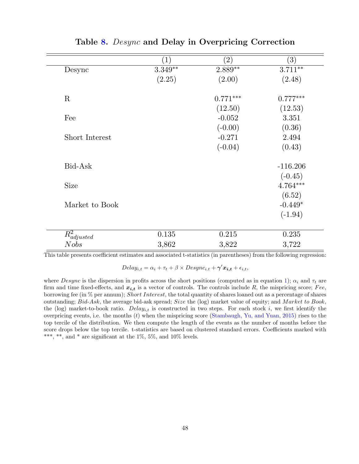<span id="page-48-0"></span>

|                  | $ 1\rangle$ | $\left( 2\right)$ | $\left( 3\right)$ |
|------------------|-------------|-------------------|-------------------|
| Desync           | $3.349**$   | $2.889**$         | $3.711***$        |
|                  | (2.25)      | (2.00)            | (2.48)            |
| $\mathbf R$      |             | $0.771***$        | $0.777***$        |
|                  |             | (12.50)           | (12.53)           |
| Fee              |             | $-0.052$          | 3.351             |
|                  |             | $(-0.00)$         | (0.36)            |
| Short Interest   |             | $-0.271$          | 2.494             |
|                  |             | $(-0.04)$         | (0.43)            |
| Bid-Ask          |             |                   | $-116.206$        |
|                  |             |                   | $(-0.45)$         |
| <b>Size</b>      |             |                   | $4.764***$        |
|                  |             |                   | (6.52)            |
| Market to Book   |             |                   | $-0.449*$         |
|                  |             |                   | $(-1.94)$         |
| $R^2_{adjusted}$ | 0.135       | 0.215             | 0.235             |
| <b>Nobs</b>      | 3,862       | 3,822             | 3,722             |

Table [8.](#page-48-0) Desync and Delay in Overpricing Correction

This table presents coefficient estimates and associated t-statistics (in parentheses) from the following regression:

 $Delay_{i,t} = \alpha_i + \tau_t + \beta \times Desync_{i.t} + \gamma' \mathbf{x_{i,t}} + \epsilon_{i,t},$ 

where Desync is the dispersion in profits across the short positions (computed as in equation [1\)](#page-10-0);  $\alpha_i$  and  $\tau_t$  are firm and time fixed-effects, and  $x_{i,t}$  is a vector of controls. The controls include R, the mispricing score; Fee, borrowing fee (in  $\%$  per annum); Short Interest, the total quantity of shares loaned out as a percentage of shares outstanding; Bid-Ask, the average bid-ask spread; Size the (log) market value of equity; and Market to Book, the (log) market-to-book ratio.  $Delay_{i,t}$  is constructed in two steps. For each stock i, we first identify the overpricing events, i.e. the months  $(t)$  when the mispricing score [\(Stambaugh, Yu, and Yuan,](#page-37-0) [2015\)](#page-37-0) rises to the top tercile of the distribution. We then compute the length of the events as the number of months before the score drops below the top tercile. t-statistics are based on clustered standard errors. Coefficients marked with \*\*\*, \*\*, and \* are significant at the  $1\%$ ,  $5\%$ , and  $10\%$  levels.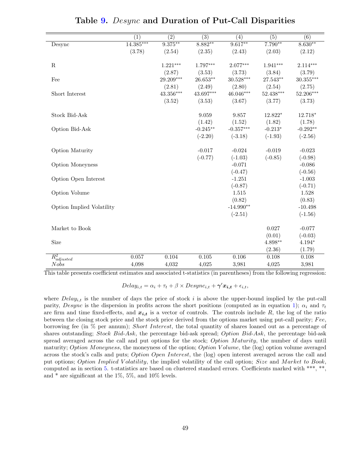<span id="page-49-0"></span>

|                           | $\overline{(1)}$ | $\overline{(2)}$        | $\overline{(3)}$ | $\overline{(4)}$ | $\overline{(5)}$ | $\overline{(6)}$ |
|---------------------------|------------------|-------------------------|------------------|------------------|------------------|------------------|
|                           | $14.385***$      | $9.375***$              | $8.882**$        | $9.617**$        | $7.790**$        | $8.630**$        |
| Desync                    |                  |                         |                  |                  |                  |                  |
|                           | (3.78)           | (2.54)                  | (2.35)           | (2.43)           | (2.03)           | (2.12)           |
| $\mathbf R$               |                  | $1.221***$              | $1.797***$       | $2.077***$       | $1.941***$       | $2.114***$       |
|                           |                  |                         |                  |                  |                  |                  |
|                           |                  | (2.87)                  | (3.53)           | (3.73)           | (3.84)           | (3.79)           |
| Fee                       |                  | 29.209***               | $26.653**$       | $30.528***$      | $27.543**$       | $30.355***$      |
|                           |                  | (2.81)                  | (2.49)           | (2.80)           | (2.54)           | (2.75)           |
| Short Interest            |                  | $43.356^{\ast\ast\ast}$ | 43.697***        | $46.046***$      | $52.438***$      | 52.206***        |
|                           |                  | (3.52)                  | (3.53)           | (3.67)           | (3.77)           | (3.73)           |
| <b>Stock Bid-Ask</b>      |                  |                         | 9.059            | 9.857            | 12.822*          | 12.718*          |
|                           |                  |                         | (1.42)           | (1.52)           | (1.82)           | (1.78)           |
|                           |                  |                         | $-0.245**$       | $-0.357***$      | $-0.213*$        | $-0.292**$       |
| Option Bid-Ask            |                  |                         |                  |                  |                  |                  |
|                           |                  |                         | $(-2.20)$        | $(-3.18)$        | $(-1.93)$        | $(-2.56)$        |
| Option Maturity           |                  |                         | $-0.017$         | $-0.024$         | $-0.019$         | $-0.023$         |
|                           |                  |                         | $(-0.77)$        | $(-1.03)$        | $(-0.85)$        | $(-0.98)$        |
| <b>Option Moneyness</b>   |                  |                         |                  | $-0.071$         |                  | $-0.086$         |
|                           |                  |                         |                  | $(-0.47)$        |                  | $(-0.56)$        |
| Option Open Interest      |                  |                         |                  | $-1.251$         |                  | $-1.003$         |
|                           |                  |                         |                  | $(-0.87)$        |                  | $(-0.71)$        |
| Option Volume             |                  |                         |                  | 1.515            |                  | 1.528            |
|                           |                  |                         |                  | (0.82)           |                  | (0.83)           |
|                           |                  |                         |                  | $-14.990**$      |                  | $-10.498$        |
| Option Implied Volatility |                  |                         |                  |                  |                  |                  |
|                           |                  |                         |                  | $(-2.51)$        |                  | $(-1.56)$        |
| Market to Book            |                  |                         |                  |                  | 0.027            | $-0.077$         |
|                           |                  |                         |                  |                  | (0.01)           | $(-0.03)$        |
| Size                      |                  |                         |                  |                  | $4.898**$        | $4.194*$         |
|                           |                  |                         |                  |                  | (2.36)           | (1.79)           |
| $R_{adjusted}^2$          | 0.057            | 0.104                   | $0.105\,$        | 0.106            | 0.108            | 0.108            |
|                           | 4,098            | 4,032                   |                  |                  |                  |                  |
| <b>Nobs</b>               |                  |                         | 4,025            | 3,981            | 4,025            | 3,981            |

|  |  |  |  |  |  | Table 9. Desync and Duration of Put-Call Disparities |
|--|--|--|--|--|--|------------------------------------------------------|
|--|--|--|--|--|--|------------------------------------------------------|

This table presents coefficient estimates and associated t-statistics (in parentheses) from the following regression:

 $Delay_{i,t} = \alpha_i + \tau_t + \beta \times Desync_{i,t} + \gamma' x_{i,t} + \epsilon_{i,t},$ 

where  $Delay_{i,t}$  is the number of days the price of stock i is above the upper-bound implied by the put-call parity, Desync is the dispersion in profits across the short positions (computed as in equation [1\)](#page-10-0);  $\alpha_i$  and  $\tau_t$ are firm and time fixed-effects, and  $x_{i,t}$  is a vector of controls. The controls include R, the log of the ratio between the closing stock price and the stock price derived from the options market using put-call parity;  $Fee$ , borrowing fee (in % per annum); Short Interest, the total quantity of shares loaned out as a percentage of shares outstanding; Stock Bid-Ask, the percentage bid-ask spread; Option Bid-Ask, the percentage bid-ask spread averaged across the call and put options for the stock; Option Maturity, the number of days until maturity; Option Moneyness, the moneyness of the option; Option Volume, the (log) option volume averaged across the stock's calls and puts; *Option Open Interest*, the (log) open interest averaged across the call and put options; Option Implied Volatility, the implied volatility of the call option; Size and Market to Book, computed as in section [5.](#page-16-0) t-statistics are based on clustered standard errors. Coefficients marked with \*\*\*, \*\*, and \* are significant at the 1%, 5%, and 10% levels.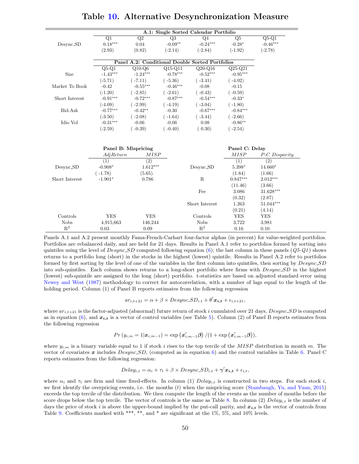|                | Q1                  | Q2               | Q3         | Q <sub>4</sub>                                  | Q5             | $Q5-Q1$         |
|----------------|---------------------|------------------|------------|-------------------------------------------------|----------------|-----------------|
| Desync_SD      | $0.18***$           | 0.04             | $-0.09**$  | $-0.24***$                                      | $-0.28*$       | $-0.46***$      |
|                | (2.93)              | (0.82)           | $(-2.14)$  | $(-2.84)$                                       | $(-1.92)$      | $(-2.78)$       |
|                |                     |                  |            |                                                 |                |                 |
|                |                     |                  |            | Panel A.2: Conditional Double Sorted Portfolios |                |                 |
|                | $Q5-Q1$             | $Q10-Q6$         | $Q15-Q11$  | $Q20-Q16$                                       | $Q25-Q21$      |                 |
| Size           | $-1.43***$          | $-1.24***$       | $-0.78***$ | $-0.52***$                                      | $-0.95***$     |                 |
|                | $(-5.71)$           | $(-7.11)$        | $(-5.36)$  | $(-3.41)$                                       | $(-4.02)$      |                 |
| Market To Book | $-0.42$             | $-0.55***$       | $-0.46***$ | $-0.08$                                         | $-0.15$        |                 |
|                | $(-1.20)$           | $(-2.85)$        | $(-2.61)$  | $(-0.43)$                                       | $(-0.59)$      |                 |
| Short Interest | $-0.91***$          | $-0.72***$       | $-0.87***$ | $-0.54***$                                      | $-0.33*$       |                 |
|                | $(-4.09)$           | $(-2.99)$        | $(-4.19)$  | $(-3.04)$                                       | $(-1.80)$      |                 |
| Bid-Ask        | $-0.77***$          | $-0.42**$        | $-0.30$    | $-0.67***$                                      | $-0.84***$     |                 |
|                | $(-3.50)$           | $(-2.08)$        | $(-1.64)$  | $(-3.44)$                                       | $(-2.66)$      |                 |
| Idio Vol       | $-0.31***$          | $-0.06$          | $-0.06$    | 0.08                                            | $-0.86**$      |                 |
|                | $(-2.59)$           | $(-0.39)$        | $(-0.40)$  | (0.30)                                          | $(-2.54)$      |                 |
|                |                     |                  |            |                                                 |                |                 |
|                | Panel B: Mispricing |                  |            |                                                 | Panel C: Delay |                 |
|                | AdjReturn           | <b>MISP</b>      |            |                                                 | MISP           | P-C Disparity   |
|                | (1)                 | $\overline{(2)}$ |            |                                                 | (1)            | (2)             |
| Desync_SD      | $-0.908*$           | $1.612***$       |            | Desync_SD                                       | 5.398*         | $14.660^{\ast}$ |
|                | $(-1.78)$           | (5.65).          |            |                                                 | (1.84)         | (1.66)          |
| Short Interest | $-1.901*$           | 0.786            |            | $\mathbf R$                                     | $0.847***$     | $2.012***$      |
|                |                     |                  |            |                                                 | (11.46)        | (3.66)          |
|                |                     |                  |            | Fee                                             | 3.086          | $31.628***$     |
|                |                     |                  |            |                                                 | (0.32)         | (2.87)          |
|                |                     |                  |            | Short Interest                                  | 1.263          | $51.044***$     |
|                |                     |                  |            |                                                 | (0.21)         | (4.14)          |
| Controls       | <b>YES</b>          | <b>YES</b>       |            | Controls                                        | <b>YES</b>     | <b>YES</b>      |
| <b>Nobs</b>    | 4,915,663           | 146,244          |            | <b>Nobs</b>                                     | 3,722          | 3,981           |
| $R^2$          | 0.03                | 0.09             |            | $\mathbf{R}^2$                                  | 0.16           | 0.10            |

# Table [10.](#page-50-0) Alternative Desynchronization Measure

<span id="page-50-0"></span> $=$ 

Panels A.1 and A.2 present monthly Fama-French-Carhart four-factor alphas (in percent) for value-weighted portfolios. Portfolios are rebalanced daily, and are held for 21 days. Results in Panel A.1 refer to portfolios formed by sorting into quintiles using the level of  $Desync\_SD$  computed following equation [\(6\)](#page-30-0); the last column in these panels ( $Q5-Q1$ ) shows returns to a portfolio long (short) in the stocks in the highest (lowest) quintile. Results in Panel A.2 refer to portfolios formed by first sorting by the level of one of the variables in the first column into quintiles, then sorting by  $Desync.SD$ into sub-quintiles. Each column shows returns to a long-short portfolio where firms with Desync SD in the highest (lowest) sub-quintile are assigned to the long (short) portfolio. t-statistics are based on adjusted standard error using [Newey and West](#page-36-12) [\(1987\)](#page-36-12) methodology to correct for autocorrelation, with a number of lags equal to the length of the holding period. Column (1) of Panel B reports estimates from the following regression

$$
ar_{i,t+21} = \alpha + \beta \times Desync\_SD_{i,t} + \theta' \mathbf{x_{i,t}} + \epsilon_{i,t+21},
$$

where  $ar_{i,t+21}$  is the factor-adjusted (abnormal) future return of stock i cumulated over 21 days,  $Desync\_SD$  is computed as in equation [\(6\)](#page-30-0), and  $x_{i,t}$  is a vector of control variables (see Table [5\)](#page-45-0). Column (2) of Panel B reports estimates from the following regression

$$
Pr(y_{i,m} = 1 | \boldsymbol{x}_{i,m-1}) = \exp\left(\boldsymbol{x}_{i,m-1}'\boldsymbol{\beta}\right) / (1 + \exp\left(\boldsymbol{x}_{i,m-1}'\boldsymbol{\beta}\right)),
$$

where  $y_{i,m}$  is a binary variable equal to 1 if stock i rises to the top tercile of the MISP distribution in month m. The vector of covariates x includes  $Desync.SD$ , (computed as in equation [6\)](#page-30-0) and the control variables in Table [6.](#page-46-0) Panel C reports estimates from the following regression:

$$
Delay_{i,t} = \alpha_i + \tau_t + \beta \times Desync.SD_{i,t} + \gamma' \mathbf{x_{i,t}} + \epsilon_{i,t},
$$

where  $\alpha_i$  and  $\tau_t$  are firm and time fixed-effects. In column (1) Delay<sub>i,t</sub> is constructed in two steps. For each stock i, we first identify the overpricing events, i.e. the months  $(t)$  when the mispricing score [\(Stambaugh, Yu, and Yuan,](#page-37-0) [2015\)](#page-37-0) exceeds the top tercile of the distribution. We then compute the length of the events as the number of months before the score drops below the top tercile. The vector of controls is the same as Table [8.](#page-48-0) In column (2)  $Delay_{i,t}$  is the number of days the price of stock i is above the upper-bound implied by the put-call parity, and  $x_{i,t}$  is the vector of controls from Table [9.](#page-49-0) Coefficients marked with \*\*\*, \*\*, and \* are significant at the 1%, 5%, and 10% levels.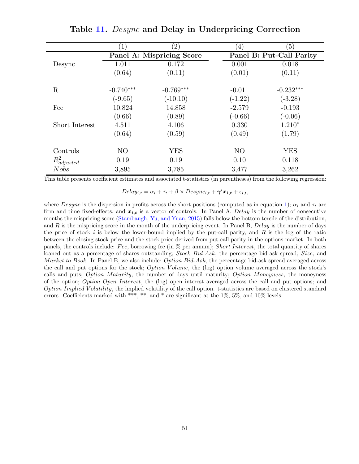<span id="page-51-0"></span>

|                  | (1)            | $\left( 2\right)$         | $^{'}4)$       | $\left(5\right)$         |
|------------------|----------------|---------------------------|----------------|--------------------------|
|                  |                | Panel A: Mispricing Score |                | Panel B: Put-Call Parity |
| Desync           | 1.011          | 0.172                     | 0.001          | 0.018                    |
|                  | (0.64)         | (0.11)                    | (0.01)         | (0.11)                   |
|                  |                |                           |                |                          |
| $\rm R$          | $-0.740***$    | $-0.769***$               | $-0.011$       | $-0.232***$              |
|                  | $(-9.65)$      | $(-10.10)$                | $(-1.22)$      | $(-3.28)$                |
| Fee              | 10.824         | 14.858                    | $-2.579$       | $-0.193$                 |
|                  | (0.66)         | (0.89)                    | $(-0.66)$      | $(-0.06)$                |
| Short Interest   | 4.511          | 4.106                     | 0.330          | $1.210*$                 |
|                  | (0.64)         | (0.59)                    | (0.49)         | (1.79)                   |
|                  |                |                           |                |                          |
| Controls         | N <sub>O</sub> | <b>YES</b>                | N <sub>O</sub> | <b>YES</b>               |
| $R^2_{adjusted}$ | 0.19           | 0.19                      | 0.10           | 0.118                    |
| <b>Nobs</b>      | 3,895          | 3,785                     | 3,477          | 3,262                    |

Table [11.](#page-51-0) *Desync* and Delay in Underpricing Correction

This table presents coefficient estimates and associated t-statistics (in parentheses) from the following regression:

 $Delay_{i,t} = \alpha_i + \tau_t + \beta \times Desync_{i,t} + \gamma' x_{i,t} + \epsilon_{i,t},$ 

where Desync is the dispersion in profits across the short positions (computed as in equation [1\)](#page-10-0);  $\alpha_i$  and  $\tau_t$  are firm and time fixed-effects, and  $x_{i,t}$  is a vector of controls. In Panel A, Delay is the number of consecutive months the mispricing score [\(Stambaugh, Yu, and Yuan,](#page-37-0) [2015\)](#page-37-0) falls below the bottom tercile of the distribution, and R is the mispricing score in the month of the underpricing event. In Panel B,  $Delay$  is the number of days the price of stock  $i$  is below the lower-bound implied by the put-call parity, and  $R$  is the log of the ratio between the closing stock price and the stock price derived from put-call parity in the options market. In both panels, the controls include: Fee, borrowing fee (in  $%$  per annum); Short Interest, the total quantity of shares loaned out as a percentage of shares outstanding; Stock Bid-Ask, the percentage bid-ask spread; Size; and Market to Book. In Panel B, we also include: Option  $Bid-Ask$ , the percentage bid-ask spread averaged across the call and put options for the stock; *Option V olume*, the (log) option volume averaged across the stock's calls and puts; Option Maturity, the number of days until maturity; Option Moneyness, the moneyness of the option; Option Open Interest, the (log) open interest averaged across the call and put options; and Option Implied V olatility, the implied volatility of the call option. t-statistics are based on clustered standard errors. Coefficients marked with \*\*\*, \*\*, and \* are significant at the 1%, 5%, and 10% levels.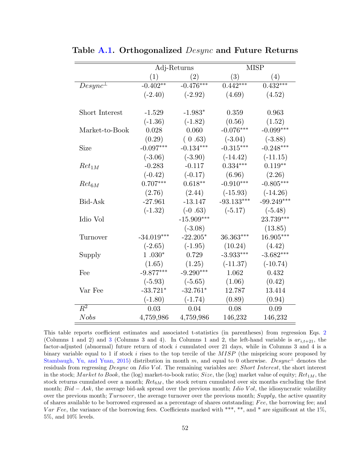|                  | Adj-Returns  |                   | <b>MISP</b>  |              |  |
|------------------|--------------|-------------------|--------------|--------------|--|
|                  | (1)          | $\left( 2\right)$ | (3)          | (4)          |  |
| $Desync^{\perp}$ | $-0.402**$   | $-0.476***$       | $0.442***$   | $0.432***$   |  |
|                  | $(-2.40)$    | $(-2.92)$         | (4.69)       | (4.52)       |  |
|                  |              |                   |              |              |  |
| Short Interest   | $-1.529$     | $-1.983*$         | 0.359        | 0.963        |  |
|                  | $(-1.36)$    | $(-1.82)$         | (0.56)       | (1.52)       |  |
| Market-to-Book   | 0.028        | 0.060             | $-0.076***$  | $-0.099***$  |  |
|                  | (0.29)       | (0.63)            | $(-3.04)$    | $(-3.88)$    |  |
| Size             | $-0.097***$  | $-0.134***$       | $-0.315***$  | $-0.248***$  |  |
|                  | $(-3.06)$    | $(-3.90)$         | $(-14.42)$   | $(-11.15)$   |  |
| $Ret_{1M}$       | $-0.283$     | $-0.117$          | $0.334***$   | $0.119**$    |  |
|                  | $(-0.42)$    | $(-0.17)$         | (6.96)       | (2.26)       |  |
| $Ret_{6M}$       | $0.707***$   | $0.618**$         | $-0.910***$  | $-0.805***$  |  |
|                  | (2.76)       | (2.44)            | $(-15.93)$   | $(-14.26)$   |  |
| Bid-Ask          | $-27.961$    | $-13.147$         | $-93.133***$ | $-99.249***$ |  |
|                  | $(-1.32)$    | $(-0.63)$         | $(-5.17)$    | $(-5.48)$    |  |
| Idio Vol         |              | $-15.909***$      |              | 23.739***    |  |
|                  |              | $(-3.08)$         |              | (13.85)      |  |
| Turnover         | $-34.019***$ | $-22.205*$        | 36.363***    | 16.905***    |  |
|                  | $(-2.65)$    | $(-1.95)$         | (10.24)      | (4.42)       |  |
| Supply           | $1.030*$     | 0.729             | $-3.933***$  | $-3.682***$  |  |
|                  | (1.65)       | (1.25)            | $(-11.37)$   | $(-10.74)$   |  |
| Fee              | $-9.877***$  | $-9.290***$       | 1.062        | 0.432        |  |
|                  | $(-5.93)$    | $(-5.65)$         | (1.06)       | (0.42)       |  |
| Var Fee          | $-33.721*$   | $-32.761*$        | 12.787       | 13.414       |  |
|                  | $(-1.80)$    | $(-1.74)$         | (0.89)       | (0.94)       |  |
| $\overline{R^2}$ | 0.03         | 0.04              | 0.08         | 0.09         |  |
| <b>Nobs</b>      | 4,759,986    | 4,759,986         | 146,232      | 146,232      |  |

<span id="page-52-0"></span>Table [A.1.](#page-52-0) Orthogonalized *Desync* and Future Returns

This table reports coefficient estimates and associated t-statistics (in parentheses) from regression Eqs. [2](#page-19-0) (Columns 1 and 2) and [3](#page-21-1) (Columns 3 and 4). In Columns 1 and 2, the left-hand variable is  $ar_{i,t+21}$ , the factor-adjusted (abnormal) future return of stock i cumulated over 21 days, while in Columns 3 and 4 is a binary variable equal to 1 if stock i rises to the top tercile of the  $MISP$  (the mispricing score proposed by [Stambaugh, Yu, and Yuan,](#page-37-0) [2015\)](#page-37-0) distribution in month m, and equal to 0 otherwise. Desync<sup>⊥</sup> denotes the residuals from regressing Desync on Idio Vol. The remaining variables are: Short Interest, the short interest in the stock; Market to Book, the (log) market-to-book ratio; Size, the (log) market value of equity;  $Ret_{1M}$ , the stock returns cumulated over a month;  $Ret_{6M}$ , the stock return cumulated over six months excluding the first month;  $Bid - Ask$ , the average bid-ask spread over the previous month; Idio Vol, the idiosyncratic volatility over the previous month;  $Turnover$ , the average turnover over the previous month;  $Supply$ , the active quantity of shares available to be borrowed expressed as a percentage of shares outstanding; Fee, the borrowing fee; and Var Fee, the variance of the borrowing fees. Coefficients marked with \*\*\*, \*\*, and \* are significant at the  $1\%$ , 5%, and 10% levels.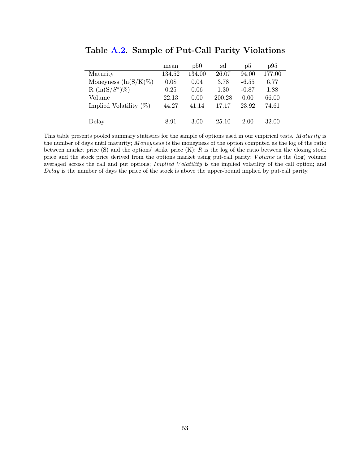|                           | mean   | p50    | sd     | $\mathrm{D}5$ | p95    |
|---------------------------|--------|--------|--------|---------------|--------|
| Maturity                  | 134.52 | 134.00 | 26.07  | 94.00         | 177.00 |
| Moneyness $(\ln(S/K)\%)$  | 0.08   | 0.04   | 3.78   | $-6.55$       | 6.77   |
| $R (\ln(S/S^*)\%)$        | 0.25   | 0.06   | 1.30   | $-0.87$       | 1.88   |
| Volume                    | 22.13  | 0.00   | 200.28 | 0.00          | 66.00  |
| Implied Volatility $(\%)$ | 44.27  | 41.14  | 17.17  | 23.92         | 74.61  |
|                           |        |        |        |               |        |
| Delay                     | 8.91   | 3.00   | 25.10  | 2.00          | 32.00  |

<span id="page-53-0"></span>Table [A.2.](#page-53-0) Sample of Put-Call Parity Violations

This table presents pooled summary statistics for the sample of options used in our empirical tests. Maturity is the number of days until maturity; Moneyness is the moneyness of the option computed as the log of the ratio between market price  $(S)$  and the options' strike price  $(K); R$  is the log of the ratio between the closing stock price and the stock price derived from the options market using put-call parity; Volume is the (log) volume averaged across the call and put options; *Implied Volatility* is the implied volatility of the call option; and Delay is the number of days the price of the stock is above the upper-bound implied by put-call parity.